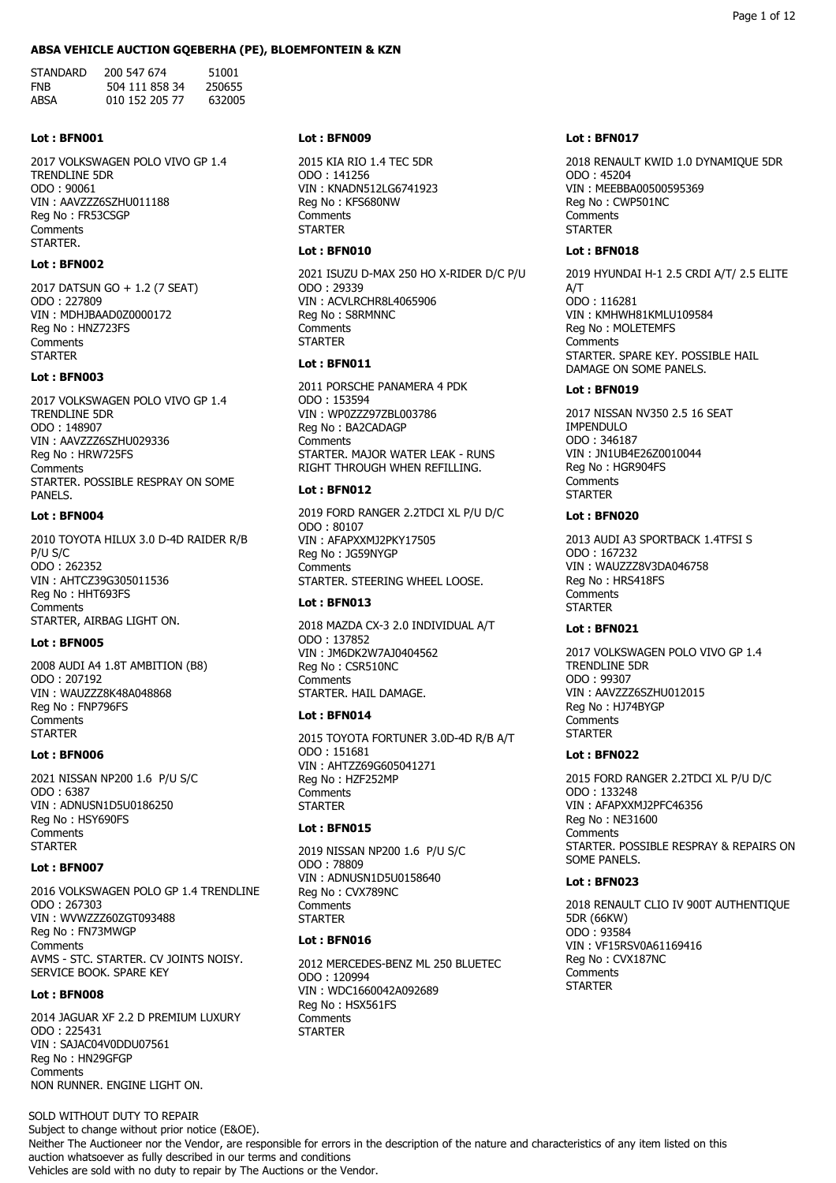#### **ABSA VEHICLE AUCTION GQEBERHA (PE), BLOEMFONTEIN & KZN**

STANDARD 200 547 674 51001<br>FNB 504 111 858 34 250655 FNB 504 111 858 34 ABSA 010 152 205 77 632005

### **Lot : BFN001**

2017 VOLKSWAGEN POLO VIVO GP 1.4 TRENDLINE 5DR ODO : 90061 VIN : AAVZZZ6SZHU011188 Reg No : FR53CSGP **Comments** STARTER.

# **Lot : BFN002**

2017 DATSUN GO + 1.2 (7 SEAT) ODO : 227809 VIN : MDHJBAAD0Z0000172 Reg No : HNZ723FS **Comments STARTER** 

# **Lot : BFN003**

2017 VOLKSWAGEN POLO VIVO GP 1.4 TRENDLINE 5DR ODO : 148907 VIN : AAVZZZ6SZHU029336 Reg No : HRW725FS **Comments** STARTER. POSSIBLE RESPRAY ON SOME PANELS.

### **Lot : BFN004**

2010 TOYOTA HILUX 3.0 D-4D RAIDER R/B P/U S/C ODO : 262352 VIN : AHTCZ39G305011536 Reg No : HHT693FS Comments STARTER, AIRBAG LIGHT ON.

# **Lot : BFN005**

2008 AUDI A4 1.8T AMBITION (B8) ODO : 207192 VIN : WAUZZZ8K48A048868 Reg No : FNP796FS **Comments STARTER** 

# **Lot : BFN006**

2021 NISSAN NP200 1.6 P/U S/C ODO : 6387 VIN : ADNUSN1D5U0186250 Reg No : HSY690FS **Comments STARTFR** 

#### **Lot : BFN007**

2016 VOLKSWAGEN POLO GP 1.4 TRENDLINE ODO : 267303 VIN : WVWZZZ60ZGT093488 Reg No : FN73MWGP **Comments** AVMS - STC. STARTER. CV JOINTS NOISY. SERVICE BOOK. SPARE KEY

### **Lot : BFN008**

2014 JAGUAR XF 2.2 D PREMIUM LUXURY ODO : 225431 VIN : SAJAC04V0DDU07561 Reg No : HN29GFGP **Comments** NON RUNNER. ENGINE LIGHT ON.

# SOLD WITHOUT DUTY TO REPAIR

**Lot : BFN009**

2015 KIA RIO 1.4 TEC 5DR ODO : 141256 VIN : KNADN512LG6741923 Reg No : KFS680NW **Comments STARTER** 

# **Lot : BFN010**

2021 ISUZU D-MAX 250 HO X-RIDER D/C P/U ODO : 29339 VIN : ACVLRCHR8L4065906 Reg No : S8RMNNC **Comments STARTER** 

# **Lot : BFN011**

2011 PORSCHE PANAMERA 4 PDK ODO : 153594 VIN : WP0ZZZ97ZBL003786 Reg No : BA2CADAGP **Comments** STARTER. MAJOR WATER LEAK - RUNS RIGHT THROUGH WHEN REFILLING.

# **Lot : BFN012**

2019 FORD RANGER 2.2TDCI XL P/U D/C ODO : 80107 VIN : AFAPXXMJ2PKY17505 Reg No : JG59NYGP Comments STARTER. STEERING WHEEL LOOSE.

# **Lot : BFN013**

2018 MAZDA CX-3 2.0 INDIVIDUAL A/T ODO : 137852 VIN : JM6DK2W7AJ0404562 Reg No : CSR510NC **Comments** STARTER. HAIL DAMAGE.

# **Lot : BFN014**

2015 TOYOTA FORTUNER 3.0D-4D R/B A/T ODO : 151681 VIN : AHTZZ69G605041271 Reg No : HZF252MP **Comments STARTER** 

# **Lot : BFN015**

2019 NISSAN NP200 1.6 P/U S/C ODO : 78809 VIN : ADNUSN1D5U0158640 Reg No : CVX789NC Comments **STARTER** 

#### **Lot : BFN016**

2012 MERCEDES-BENZ ML 250 BLUETEC ODO : 120994 VIN : WDC1660042A092689 Reg No : HSX561FS **Comments STARTED** 

#### **Lot : BFN017**

2018 RENAULT KWID 1.0 DYNAMIQUE 5DR ODO : 45204 VIN : MEEBBA00500595369 Reg No : CWP501NC **Comments STARTER** 

### **Lot : BFN018**

2019 HYUNDAI H-1 2.5 CRDI A/T/ 2.5 ELITE A/T ODO : 116281 VIN : KMHWH81KMLU109584 Reg No : MOLETEMFS **Comments** STARTER. SPARE KEY. POSSIBLE HAIL DAMAGE ON SOME PANELS.

# **Lot : BFN019**

2017 NISSAN NV350 2.5 16 SEAT IMPENDULO ODO : 346187 VIN : JN1UB4E26Z0010044 Reg No : HGR904FS **Comments STARTER** 

### **Lot : BFN020**

2013 AUDI A3 SPORTBACK 1.4TFSI S ODO : 167232 VIN : WAUZZZ8V3DA046758 Reg No : HRS418FS **Comments STARTER** 

# **Lot : BFN021**

2017 VOLKSWAGEN POLO VIVO GP 1.4 TRENDLINE 5DR ODO : 99307 VIN : AAVZZZ6SZHU012015 Reg No : HJ74BYGP Comments **STARTER** 

# **Lot : BFN022**

2015 FORD RANGER 2.2TDCI XL P/U D/C ODO : 133248 VIN : AFAPXXMJ2PFC46356 Reg No : NE31600 **Comments** STARTER. POSSIBLE RESPRAY & REPAIRS ON SOME PANELS.

# **Lot : BFN023**

2018 RENAULT CLIO IV 900T AUTHENTIQUE 5DR (66KW) ODO : 93584 VIN : VF15RSV0A61169416 Reg No : CVX187NC **Comments STARTER**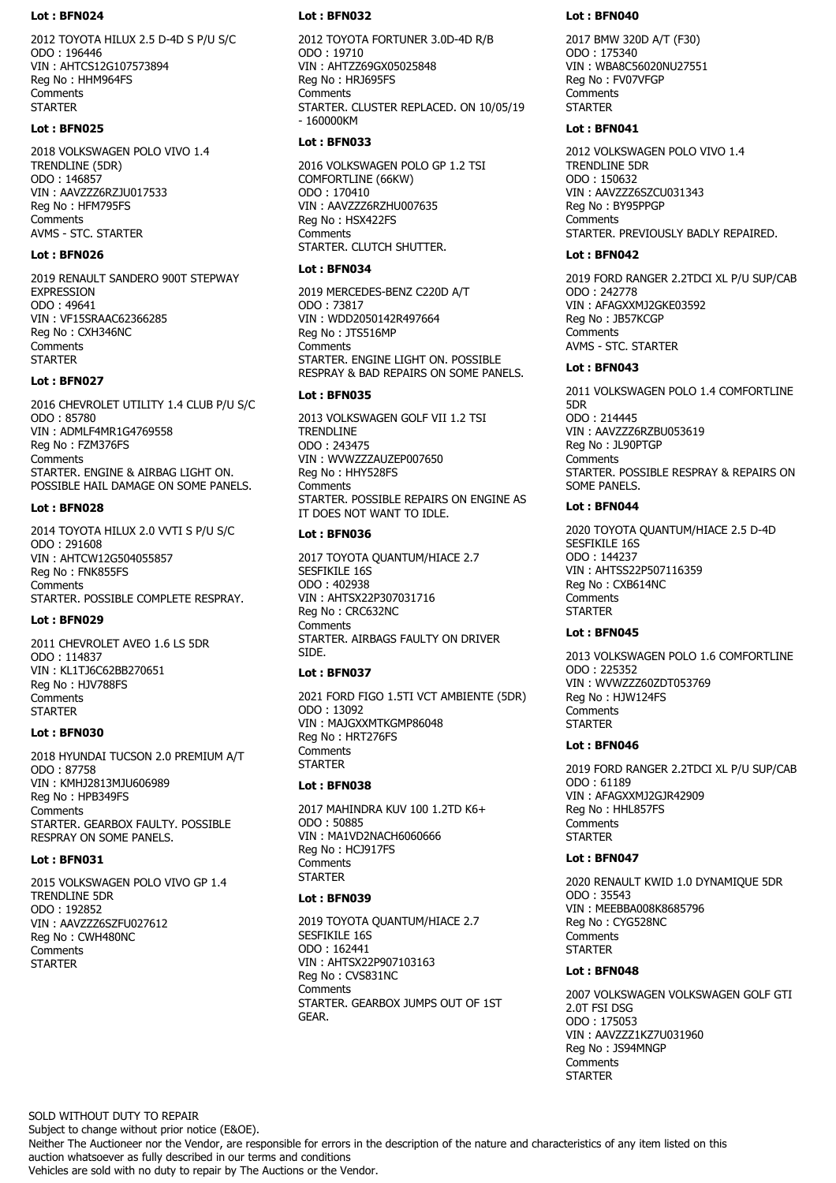#### **Lot : BFN024**

2012 TOYOTA HILUX 2.5 D-4D S P/U S/C ODO : 196446 VIN : AHTCS12G107573894 Reg No : HHM964FS Comments **STARTER** 

### **Lot : BFN025**

2018 VOLKSWAGEN POLO VIVO 1.4 TRENDLINE (5DR) ODO : 146857 VIN : AAVZZZ6RZJU017533 Reg No : HFM795FS Comments AVMS - STC. STARTER

### **Lot : BFN026**

2019 RENAULT SANDERO 900T STEPWAY EXPRESSION ODO : 49641 VIN : VF15SRAAC62366285 Reg No : CXH346NC **Comments STARTER** 

# **Lot : BFN027**

2016 CHEVROLET UTILITY 1.4 CLUB P/U S/C ODO : 85780 VIN : ADMLF4MR1G4769558 Reg No : FZM376FS **Comments** STARTER. ENGINE & AIRBAG LIGHT ON. POSSIBLE HAIL DAMAGE ON SOME PANELS.

#### **Lot : BFN028**

2014 TOYOTA HILUX 2.0 VVTI S P/U S/C ODO : 291608 VIN : AHTCW12G504055857 Reg No : FNK855FS Comments STARTER. POSSIBLE COMPLETE RESPRAY.

#### **Lot : BFN029**

2011 CHEVROLET AVEO 1.6 LS 5DR ODO : 114837 VIN : KL1TJ6C62BB270651 Reg No : HJV788FS **Comments STARTER** 

# **Lot : BFN030**

2018 HYUNDAI TUCSON 2.0 PREMIUM A/T ODO : 87758 VIN : KMHJ2813MJU606989 Reg No : HPB349FS **Comments** STARTER. GEARBOX FAULTY. POSSIBLE RESPRAY ON SOME PANELS.

## **Lot : BFN031**

2015 VOLKSWAGEN POLO VIVO GP 1.4 TRENDLINE 5DR ODO : 192852 VIN : AAVZZZ6SZFU027612 Reg No : CWH480NC Comments **STARTER** 

#### **Lot : BFN032**

2012 TOYOTA FORTUNER 3.0D-4D R/B ODO : 19710 VIN : AHTZZ69GX05025848 Reg No : HRJ695FS **Comments** STARTER. CLUSTER REPLACED. ON 10/05/19 - 160000KM

### **Lot : BFN033**

2016 VOLKSWAGEN POLO GP 1.2 TSI COMFORTLINE (66KW) ODO : 170410 VIN : AAVZZZ6RZHU007635 Reg No : HSX422FS **Comments** STARTER. CLUTCH SHUTTER.

# **Lot : BFN034**

2019 MERCEDES-BENZ C220D A/T ODO : 73817 VIN : WDD2050142R497664 Reg No : JTS516MP **Comments** STARTER. ENGINE LIGHT ON. POSSIBLE RESPRAY & BAD REPAIRS ON SOME PANELS.

### **Lot : BFN035**

2013 VOLKSWAGEN GOLF VII 1.2 TSI **TRENDLINE** ODO : 243475 VIN : WVWZZZAUZEP007650 Reg No : HHY528FS **Comments** STARTER. POSSIBLE REPAIRS ON ENGINE AS IT DOES NOT WANT TO IDLE.

# **Lot : BFN036**

2017 TOYOTA QUANTUM/HIACE 2.7 SESFIKILE 16S ODO : 402938 VIN : AHTSX22P307031716 Reg No : CRC632NC **Comments** STARTER. AIRBAGS FAULTY ON DRIVER SIDE.

#### **Lot : BFN037**

2021 FORD FIGO 1.5TI VCT AMBIENTE (5DR) ODO : 13092 VIN : MAJGXXMTKGMP86048 Reg No : HRT276FS **Comments STARTER** 

# **Lot : BFN038**

2017 MAHINDRA KUV 100 1.2TD K6+ ODO : 50885 VIN : MA1VD2NACH6060666 Reg No : HCJ917FS Comments **STARTER** 

### **Lot : BFN039**

2019 TOYOTA QUANTUM/HIACE 2.7 SESFIKILE 16S ODO : 162441 VIN : AHTSX22P907103163 Reg No : CVS831NC **Comments** STARTER. GEARBOX JUMPS OUT OF 1ST GEAR.

#### **Lot : BFN040**

2017 BMW 320D A/T (F30) ODO : 175340 VIN : WBA8C56020NU27551 Reg No : FV07VFGP Comments **STARTER** 

#### **Lot : BFN041**

2012 VOLKSWAGEN POLO VIVO 1.4 TRENDLINE 5DR ODO : 150632 VIN : AAVZZZ6SZCU031343 Reg No : BY95PPGP Comments STARTER. PREVIOUSLY BADLY REPAIRED.

### **Lot : BFN042**

2019 FORD RANGER 2.2TDCI XL P/U SUP/CAB ODO : 242778 VIN : AFAGXXMJ2GKE03592 Reg No : JB57KCGP **Comments** AVMS - STC. STARTER

# **Lot : BFN043**

2011 VOLKSWAGEN POLO 1.4 COMFORTLINE 5DR ODO : 214445 VIN : AAVZZZ6RZBU053619 Reg No : JL90PTGP **Comments** STARTER. POSSIBLE RESPRAY & REPAIRS ON SOME PANELS.

### **Lot : BFN044**

2020 TOYOTA QUANTUM/HIACE 2.5 D-4D SESFIKILE 16S ODO : 144237 VIN : AHTSS22P507116359 Reg No : CXB614NC Comments **STARTER** 

### **Lot : BFN045**

2013 VOLKSWAGEN POLO 1.6 COMFORTLINE ODO : 225352 VIN : WVWZZZ60ZDT053769 Reg No : HJW124FS **Comments STARTED** 

# **Lot : BFN046**

2019 FORD RANGER 2.2TDCI XL P/U SUP/CAB ODO : 61189 VIN : AFAGXXMJ2GJR42909 Reg No : HHL857FS Comments **STARTER** 

## **Lot : BFN047**

2020 RENAULT KWID 1.0 DYNAMIQUE 5DR ODO : 35543 VIN : MEEBBA008K8685796 Reg No : CYG528NC **Comments STARTER** 

### **Lot : BFN048**

2007 VOLKSWAGEN VOLKSWAGEN GOLF GTI 2.0T FSI DSG ODO : 175053 VIN : AAVZZZ1KZ7U031960 Reg No : JS94MNGP **Comments STARTER** 

SOLD WITHOUT DUTY TO REPAIR

Subject to change without prior notice (E&OE).

Neither The Auctioneer nor the Vendor, are responsible for errors in the description of the nature and characteristics of any item listed on this auction whatsoever as fully described in our terms and conditions

Vehicles are sold with no duty to repair by The Auctions or the Vendor.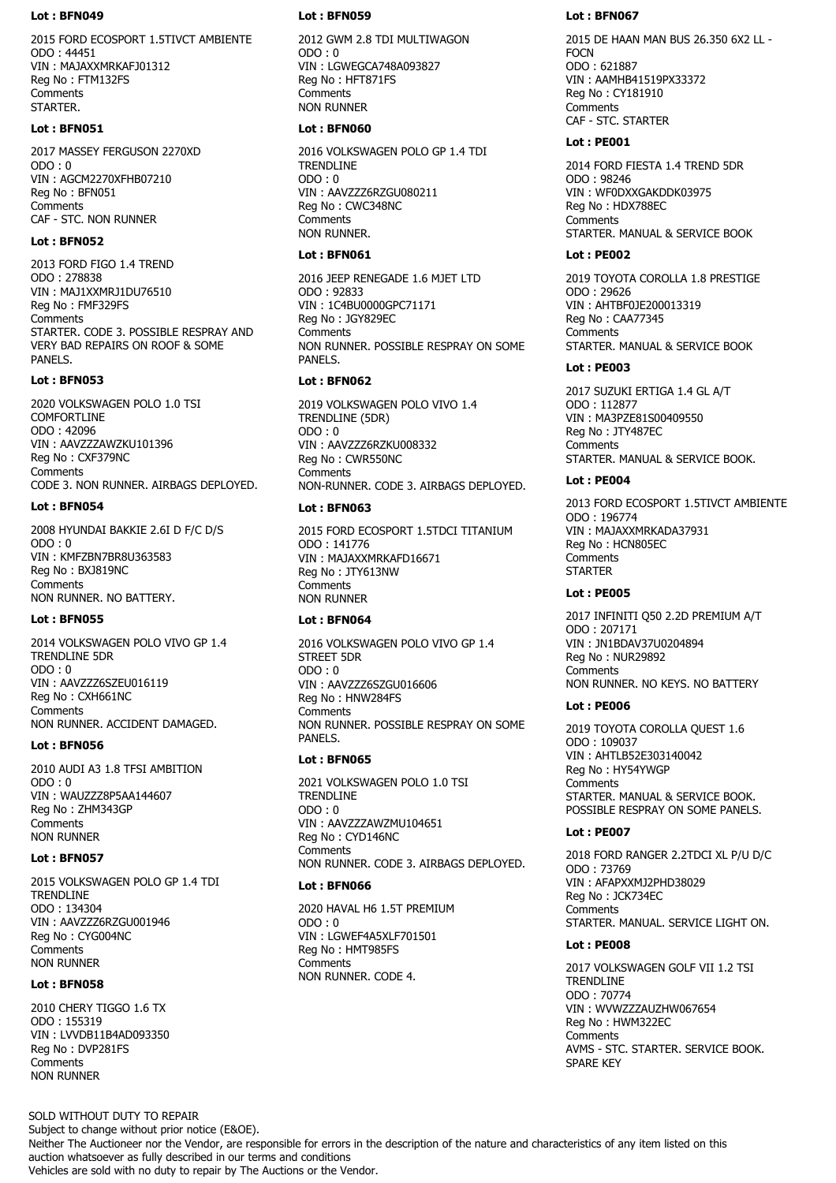#### **Lot : BFN049**

2015 FORD ECOSPORT 1.5TIVCT AMBIENTE ODO : 44451 VIN : MAJAXXMRKAFJ01312 Reg No : FTM132FS Comments STARTER.

## **Lot : BFN051**

2017 MASSEY FERGUSON 2270XD  $ODO:0$ VIN : AGCM2270XFHB07210 Reg No : BFN051 **Comments** CAF - STC. NON RUNNER

### **Lot : BFN052**

2013 FORD FIGO 1.4 TREND ODO : 278838 VIN : MAJ1XXMRJ1DU76510 Reg No : FMF329FS **Comments** STARTER. CODE 3. POSSIBLE RESPRAY AND VERY BAD REPAIRS ON ROOF & SOME PANELS.

# **Lot : BFN053**

2020 VOLKSWAGEN POLO 1.0 TSI COMFORTLINE ODO : 42096 VIN : AAVZZZAWZKU101396 Reg No : CXF379NC **Comments** CODE 3. NON RUNNER. AIRBAGS DEPLOYED.

### **Lot : BFN054**

2008 HYUNDAI BAKKIE 2.6I D F/C D/S ODO : 0 VIN : KMFZBN7BR8U363583 Reg No : BXJ819NC **Comments** NON RUNNER. NO BATTERY.

#### **Lot : BFN055**

2014 VOLKSWAGEN POLO VIVO GP 1.4 TRENDLINE 5DR ODO : 0 VIN : AAVZZZ6SZEU016119 Reg No : CXH661NC **Comments** NON RUNNER. ACCIDENT DAMAGED.

## **Lot : BFN056**

2010 AUDI A3 1.8 TFSI AMBITION ODO : 0 VIN : WAUZZZ8P5AA144607 Reg No : ZHM343GP Comments NON RUNNER

#### **Lot : BFN057**

2015 VOLKSWAGEN POLO GP 1.4 TDI TRENDLINE ODO : 134304 VIN : AAVZZZ6RZGU001946 Reg No : CYG004NC **Comments** NON RUNNER

#### **Lot : BFN058**

2010 CHERY TIGGO 1.6 TX ODO : 155319 VIN : LVVDB11B4AD093350 Reg No : DVP281FS **Comments** NON RUNNER

#### **Lot : BFN059**

2012 GWM 2.8 TDI MULTIWAGON  $ODO:0$ VIN : LGWEGCA748A093827 Reg No : HFT871FS **Comments** NON RUNNER

#### **Lot : BFN060**

2016 VOLKSWAGEN POLO GP 1.4 TDI **TRENDLINE**  $ODO:0$ VIN : AAVZZZ6RZGU080211 Reg No : CWC348NC Comments NON RUNNER.

# **Lot : BFN061**

2016 JEEP RENEGADE 1.6 MJET LTD ODO : 92833 VIN : 1C4BU0000GPC71171 Reg No : JGY829EC **Comments** NON RUNNER. POSSIBLE RESPRAY ON SOME PANELS.

## **Lot : BFN062**

2019 VOLKSWAGEN POLO VIVO 1.4 TRENDLINE (5DR) ODO : 0 VIN : AAVZZZ6RZKU008332 Reg No : CWR550NC **Comments** NON-RUNNER. CODE 3. AIRBAGS DEPLOYED.

### **Lot : BFN063**

2015 FORD ECOSPORT 1.5TDCI TITANIUM ODO : 141776 VIN : MAJAXXMRKAFD16671 Reg No : JTY613NW **Comments** NON RUNNER

## **Lot : BFN064**

2016 VOLKSWAGEN POLO VIVO GP 1.4 STREET 5DR ODO : 0 VIN : AAVZZZ6SZGU016606 Reg No : HNW284FS **Comments** NON RUNNER. POSSIBLE RESPRAY ON SOME PANELS.

# **Lot : BFN065**

2021 VOLKSWAGEN POLO 1.0 TSI TRENDLINE ODO : 0 VIN : AAVZZZAWZMU104651 Reg No : CYD146NC **Comments** NON RUNNER. CODE 3. AIRBAGS DEPLOYED.

### **Lot : BFN066**

2020 HAVAL H6 1.5T PREMIUM ODO : 0 VIN : LGWEF4A5XLF701501 Reg No : HMT985FS Comments NON RUNNER. CODE 4.

#### **Lot : BFN067**

2015 DE HAAN MAN BUS 26.350 6X2 LL - **FOCN** ODO : 621887 VIN : AAMHB41519PX33372 Reg No : CY181910 **Comments** CAF - STC. STARTER

#### **Lot : PE001**

2014 FORD FIESTA 1.4 TREND 5DR ODO : 98246 VIN : WF0DXXGAKDDK03975 Reg No : HDX788EC Comments STARTER. MANUAL & SERVICE BOOK

# **Lot : PE002**

2019 TOYOTA COROLLA 1.8 PRESTIGE ODO : 29626 VIN : AHTBF0JE200013319 Reg No : CAA77345 **Comments** STARTER. MANUAL & SERVICE BOOK

# **Lot : PE003**

2017 SUZUKI ERTIGA 1.4 GL A/T ODO : 112877 VIN : MA3PZE81S00409550 Reg No : JTY487EC **Comments** STARTER. MANUAL & SERVICE BOOK.

#### **Lot : PE004**

2013 FORD ECOSPORT 1.5TIVCT AMBIENTE ODO : 196774 VIN : MAJAXXMRKADA37931 Reg No : HCN805EC **Comments STARTER** 

# **Lot : PE005**

2017 INFINITI Q50 2.2D PREMIUM A/T ODO : 207171 VIN : JN1BDAV37U0204894 Reg No : NUR29892 **Comments** NON RUNNER. NO KEYS. NO BATTERY

### **Lot : PE006**

2019 TOYOTA COROLLA QUEST 1.6 ODO : 109037 VIN : AHTLB52E303140042 Reg No : HY54YWGP **Comments** STARTER. MANUAL & SERVICE BOOK. POSSIBLE RESPRAY ON SOME PANELS.

#### **Lot : PE007**

2018 FORD RANGER 2.2TDCI XL P/U D/C ODO : 73769 VIN : AFAPXXMJ2PHD38029 Reg No : JCK734EC **Comments** STARTER. MANUAL. SERVICE LIGHT ON.

#### **Lot : PE008**

2017 VOLKSWAGEN GOLF VII 1.2 TSI **TRENDLINE** ODO : 70774 VIN : WVWZZZAUZHW067654 Reg No : HWM322EC **Comments** AVMS - STC. STARTER. SERVICE BOOK. SPARE KEY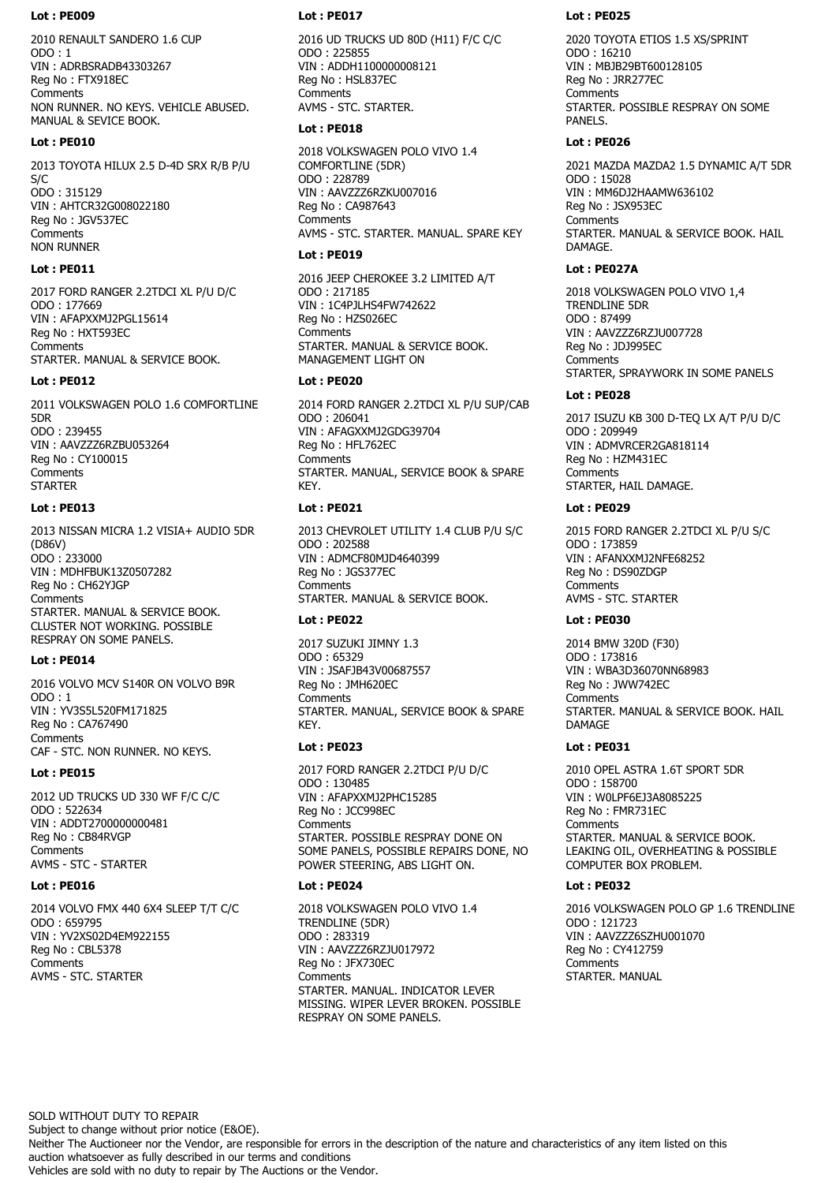2010 RENAULT SANDERO 1.6 CUP  $ODO : 1$ VIN : ADRBSRADB43303267 Reg No : FTX918EC Comments NON RUNNER. NO KEYS. VEHICLE ABUSED. MANUAL & SEVICE BOOK.

#### **Lot : PE010**

2013 TOYOTA HILUX 2.5 D-4D SRX R/B P/U S/C ODO : 315129 VIN : AHTCR32G008022180 Reg No : JGV537EC **Comments** NON RUNNER

# **Lot : PE011**

2017 FORD RANGER 2.2TDCI XL P/U D/C ODO : 177669 VIN : AFAPXXMJ2PGL15614 Reg No : HXT593EC **Comments** STARTER. MANUAL & SERVICE BOOK.

#### **Lot : PE012**

2011 VOLKSWAGEN POLO 1.6 COMFORTLINE 5DR ODO : 239455 VIN : AAVZZZ6RZBU053264 Reg No : CY100015 **Comments STARTER** 

### **Lot : PE013**

2013 NISSAN MICRA 1.2 VISIA+ AUDIO 5DR (D86V) ODO : 233000 VIN : MDHFBUK13Z0507282 Reg No : CH62YJGP **Comments** STARTER. MANUAL & SERVICE BOOK. CLUSTER NOT WORKING. POSSIBLE RESPRAY ON SOME PANELS.

#### **Lot : PE014**

2016 VOLVO MCV S140R ON VOLVO B9R ODO : 1 VIN : YV3S5L520FM171825 Reg No : CA767490 Comments CAF - STC. NON RUNNER. NO KEYS.

#### **Lot : PE015**

2012 UD TRUCKS UD 330 WF F/C C/C ODO : 522634 VIN : ADDT2700000000481 Reg No : CB84RVGP **Comments** AVMS - STC - STARTER

#### **Lot : PE016**

2014 VOLVO FMX 440 6X4 SLEEP T/T C/C ODO : 659795 VIN : YV2XS02D4EM922155 Reg No : CBL5378 Comments AVMS - STC. STARTER

#### **Lot : PE017**

2016 UD TRUCKS UD 80D (H11) F/C C/C ODO : 225855 VIN : ADDH1100000008121 Reg No : HSL837EC Comments AVMS - STC. STARTER.

#### **Lot : PE018**

2018 VOLKSWAGEN POLO VIVO 1.4 COMFORTLINE (5DR) ODO : 228789 VIN : AAVZZZ6RZKU007016 Reg No : CA987643 **Comments** AVMS - STC. STARTER. MANUAL. SPARE KEY

### **Lot : PE019**

2016 JEEP CHEROKEE 3.2 LIMITED A/T ODO : 217185 VIN : 1C4PJLHS4FW742622 Reg No : HZS026EC **Comments** STARTER. MANUAL & SERVICE BOOK. MANAGEMENT LIGHT ON

#### **Lot : PE020**

2014 FORD RANGER 2.2TDCI XL P/U SUP/CAB ODO : 206041 VIN : AFAGXXMJ2GDG39704 Reg No : HFL762EC **Comments** STARTER. MANUAL, SERVICE BOOK & SPARE **KFY** 

### **Lot : PE021**

2013 CHEVROLET UTILITY 1.4 CLUB P/U S/C ODO : 202588 VIN : ADMCF80MJD4640399 Reg No : JGS377EC Comments STARTER. MANUAL & SERVICE BOOK.

## **Lot : PE022**

2017 SUZUKI JIMNY 1.3 ODO : 65329 VIN : JSAFJB43V00687557 Reg No : JMH620EC **Comments** STARTER. MANUAL, SERVICE BOOK & SPARE KEY.

# **Lot : PE023**

2017 FORD RANGER 2.2TDCI P/U D/C ODO : 130485 VIN : AFAPXXMJ2PHC15285 Reg No : JCC998EC **Comments** STARTER. POSSIBLE RESPRAY DONE ON SOME PANELS, POSSIBLE REPAIRS DONE, NO POWER STEERING, ABS LIGHT ON.

#### **Lot : PE024**

2018 VOLKSWAGEN POLO VIVO 1.4 TRENDLINE (5DR) ODO : 283319 VIN : AAVZZZ6RZJU017972 Reg No : JFX730EC Comments STARTER. MANUAL. INDICATOR LEVER MISSING. WIPER LEVER BROKEN. POSSIBLE RESPRAY ON SOME PANELS.

#### **Lot : PE025**

2020 TOYOTA ETIOS 1.5 XS/SPRINT ODO : 16210 VIN : MBJB29BT600128105 Reg No : JRR277EC Comments STARTER. POSSIBLE RESPRAY ON SOME PANELS.

### **Lot : PE026**

2021 MAZDA MAZDA2 1.5 DYNAMIC A/T 5DR ODO : 15028 VIN : MM6DJ2HAAMW636102 Reg No : JSX953EC Comments STARTER. MANUAL & SERVICE BOOK. HAIL **DAMAGE** 

### **Lot : PE027A**

2018 VOLKSWAGEN POLO VIVO 1,4 TRENDLINE 5DR ODO : 87499 VIN : AAVZZZ6RZJU007728 Reg No : JDJ995EC **Comments** STARTER, SPRAYWORK IN SOME PANELS

# **Lot : PE028**

2017 ISUZU KB 300 D-TEQ LX A/T P/U D/C ODO : 209949 VIN : ADMVRCER2GA818114 Reg No : HZM431EC **Comments** STARTER, HAIL DAMAGE.

### **Lot : PE029**

2015 FORD RANGER 2.2TDCI XL P/U S/C ODO : 173859 VIN : AFANXXMJ2NFE68252 Reg No : DS90ZDGP Comments AVMS - STC. STARTER

#### **Lot : PE030**

2014 BMW 320D (F30) ODO : 173816 VIN : WBA3D36070NN68983 Reg No : JWW742EC **Comments** STARTER. MANUAL & SERVICE BOOK. HAIL DAMAGE

# **Lot : PE031**

2010 OPEL ASTRA 1.6T SPORT 5DR ODO : 158700 VIN : W0LPF6EJ3A8085225 Reg No : FMR731EC **Comments** STARTER. MANUAL & SERVICE BOOK. LEAKING OIL, OVERHEATING & POSSIBLE COMPUTER BOX PROBLEM.

# **Lot : PE032**

2016 VOLKSWAGEN POLO GP 1.6 TRENDLINE ODO : 121723 VIN : AAVZZZ6SZHU001070 Reg No : CY412759 Comments STARTER. MANUAL

SOLD WITHOUT DUTY TO REPAIR

Subject to change without prior notice (E&OE).

Neither The Auctioneer nor the Vendor, are responsible for errors in the description of the nature and characteristics of any item listed on this auction whatsoever as fully described in our terms and conditions

Vehicles are sold with no duty to repair by The Auctions or the Vendor.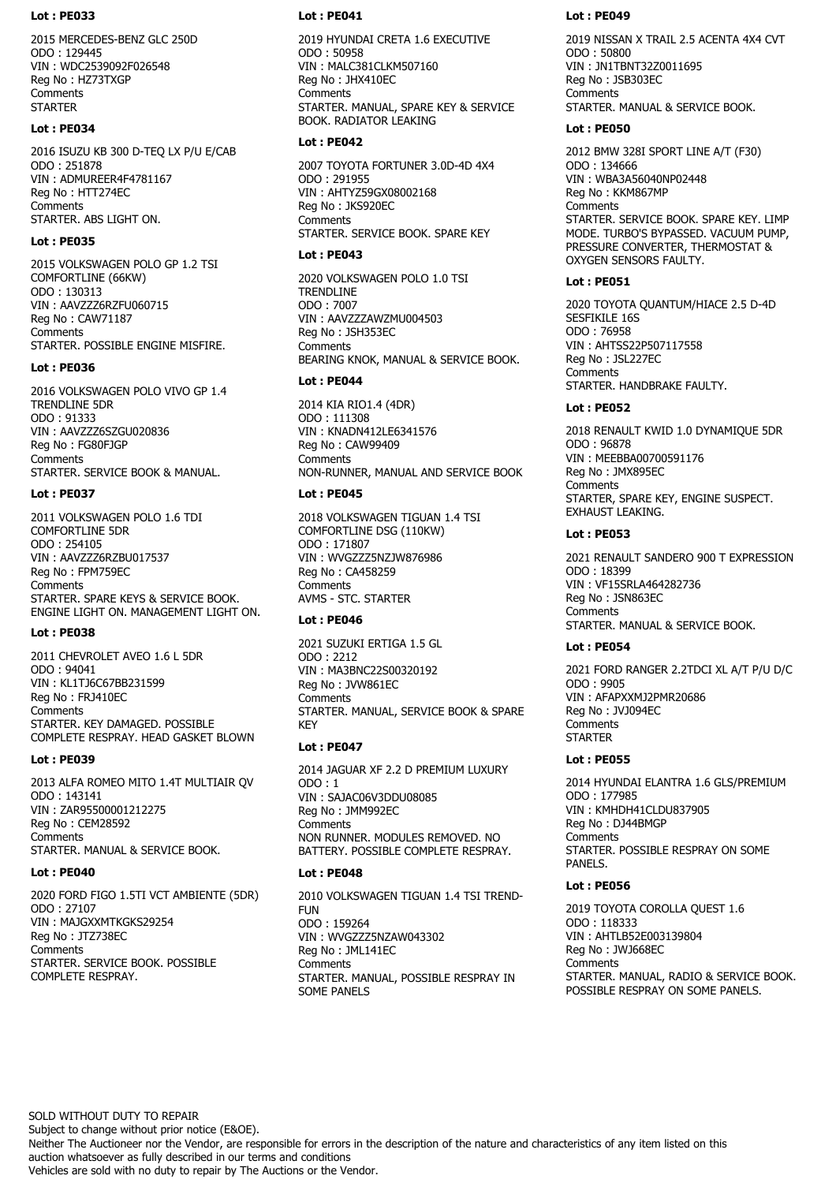2015 MERCEDES-BENZ GLC 250D ODO : 129445 VIN : WDC2539092F026548 Reg No : HZ73TXGP Comments **STARTER** 

# **Lot : PE034**

2016 ISUZU KB 300 D-TEQ LX P/U E/CAB ODO : 251878 VIN : ADMUREER4F4781167 Reg No : HTT274EC **Comments** STARTER. ABS LIGHT ON.

# **Lot : PE035**

2015 VOLKSWAGEN POLO GP 1.2 TSI COMFORTLINE (66KW) ODO : 130313 VIN : AAVZZZ6RZFU060715 Reg No : CAW71187 **Comments** STARTER. POSSIBLE ENGINE MISFIRE.

# **Lot : PE036**

2016 VOLKSWAGEN POLO VIVO GP 1.4 TRENDLINE 5DR ODO : 91333 VIN : AAVZZZ6SZGU020836 Reg No : FG80FJGP **Comments** STARTER. SERVICE BOOK & MANUAL.

# **Lot : PE037**

2011 VOLKSWAGEN POLO 1.6 TDI COMFORTLINE 5DR ODO : 254105 VIN : AAVZZZ6RZBU017537 Reg No : FPM759EC **Comments** STARTER. SPARE KEYS & SERVICE BOOK. ENGINE LIGHT ON. MANAGEMENT LIGHT ON.

# **Lot : PE038**

2011 CHEVROLET AVEO 1.6 L 5DR ODO : 94041 VIN : KL1TJ6C67BB231599 Reg No : FRJ410EC **Comments** STARTER. KEY DAMAGED. POSSIBLE COMPLETE RESPRAY. HEAD GASKET BLOWN

# **Lot : PE039**

2013 ALFA ROMEO MITO 1.4T MULTIAIR QV ODO : 143141 VIN : ZAR95500001212275 Reg No : CEM28592 **Comments** STARTER. MANUAL & SERVICE BOOK.

# **Lot : PE040**

2020 FORD FIGO 1.5TI VCT AMBIENTE (5DR) ODO : 27107 VIN : MAJGXXMTKGKS29254 Reg No : JTZ738EC **Comments** STARTER. SERVICE BOOK. POSSIBLE COMPLETE RESPRAY.

## **Lot : PE041**

2019 HYUNDAI CRETA 1.6 EXECUTIVE ODO : 50958 VIN : MALC381CLKM507160 Reg No : JHX410EC Comments STARTER. MANUAL, SPARE KEY & SERVICE BOOK. RADIATOR LEAKING

# **Lot : PE042**

2007 TOYOTA FORTUNER 3.0D-4D 4X4 ODO : 291955 VIN : AHTYZ59GX08002168 Reg No : JKS920EC **Comments** STARTER. SERVICE BOOK. SPARE KEY

# **Lot : PE043**

2020 VOLKSWAGEN POLO 1.0 TSI TRENDLINE ODO : 7007 VIN : AAVZZZAWZMU004503 Reg No : JSH353EC **Comments** BEARING KNOK, MANUAL & SERVICE BOOK.

# **Lot : PE044**

2014 KIA RIO1.4 (4DR) ODO : 111308 VIN : KNADN412LE6341576 Reg No : CAW99409 **Comments** NON-RUNNER, MANUAL AND SERVICE BOOK

# **Lot : PE045**

2018 VOLKSWAGEN TIGUAN 1.4 TSI COMFORTLINE DSG (110KW) ODO : 171807 VIN : WVGZZZ5NZJW876986 Reg No : CA458259 **Comments** AVMS - STC. STARTER

# **Lot : PE046**

2021 SUZUKI ERTIGA 1.5 GL ODO : 2212 VIN : MA3BNC22S00320192 Reg No : JVW861EC **Comments** STARTER. MANUAL, SERVICE BOOK & SPARE KEY

# **Lot : PE047**

2014 JAGUAR XF 2.2 D PREMIUM LUXURY ODO : 1 VIN : SAJAC06V3DDU08085 Reg No : JMM992EC **Comments** NON RUNNER. MODULES REMOVED. NO BATTERY. POSSIBLE COMPLETE RESPRAY.

# **Lot : PE048**

2010 VOLKSWAGEN TIGUAN 1.4 TSI TREND-FUN ODO : 159264 VIN : WVGZZZ5NZAW043302 Reg No : JML141EC Comments STARTER. MANUAL, POSSIBLE RESPRAY IN SOME PANELS

# **Lot : PE049**

2019 NISSAN X TRAIL 2.5 ACENTA 4X4 CVT ODO : 50800 VIN : JN1TBNT32Z0011695 Reg No : JSB303EC Comments STARTER. MANUAL & SERVICE BOOK.

# **Lot : PE050**

2012 BMW 328I SPORT LINE A/T (F30) ODO : 134666 VIN : WBA3A56040NP02448 Reg No : KKM867MP **Comments** STARTER. SERVICE BOOK. SPARE KEY. LIMP MODE. TURBO'S BYPASSED. VACUUM PUMP, PRESSURE CONVERTER, THERMOSTAT & OXYGEN SENSORS FAULTY.

# **Lot : PE051**

2020 TOYOTA QUANTUM/HIACE 2.5 D-4D SESFIKILE 16S ODO : 76958 VIN : AHTSS22P507117558 Reg No : JSL227EC Comments STARTER. HANDBRAKE FAULTY.

# **Lot : PE052**

2018 RENAULT KWID 1.0 DYNAMIQUE 5DR ODO : 96878 VIN : MEEBBA00700591176 Reg No : JMX895EC **Comments** STARTER, SPARE KEY, ENGINE SUSPECT. EXHAUST LEAKING.

# **Lot : PE053**

2021 RENAULT SANDERO 900 T EXPRESSION ODO : 18399 VIN : VF15SRLA464282736 Reg No : JSN863EC **Comments** STARTER. MANUAL & SERVICE BOOK.

# **Lot : PE054**

2021 FORD RANGER 2.2TDCI XL A/T P/U D/C ODO : 9905 VIN : AFAPXXMJ2PMR20686 Reg No : JVJ094EC **Comments STARTER** 

# **Lot : PE055**

2014 HYUNDAI ELANTRA 1.6 GLS/PREMIUM ODO : 177985 VIN : KMHDH41CLDU837905 Reg No : DJ44BMGP **Comments** STARTER. POSSIBLE RESPRAY ON SOME PANELS.

# **Lot : PE056**

2019 TOYOTA COROLLA QUEST 1.6 ODO : 118333 VIN : AHTLB52E003139804 Reg No : JWJ668EC Comments STARTER. MANUAL, RADIO & SERVICE BOOK. POSSIBLE RESPRAY ON SOME PANELS.

SOLD WITHOUT DUTY TO REPAIR

Subject to change without prior notice (E&OE).

Neither The Auctioneer nor the Vendor, are responsible for errors in the description of the nature and characteristics of any item listed on this auction whatsoever as fully described in our terms and conditions

Vehicles are sold with no duty to repair by The Auctions or the Vendor.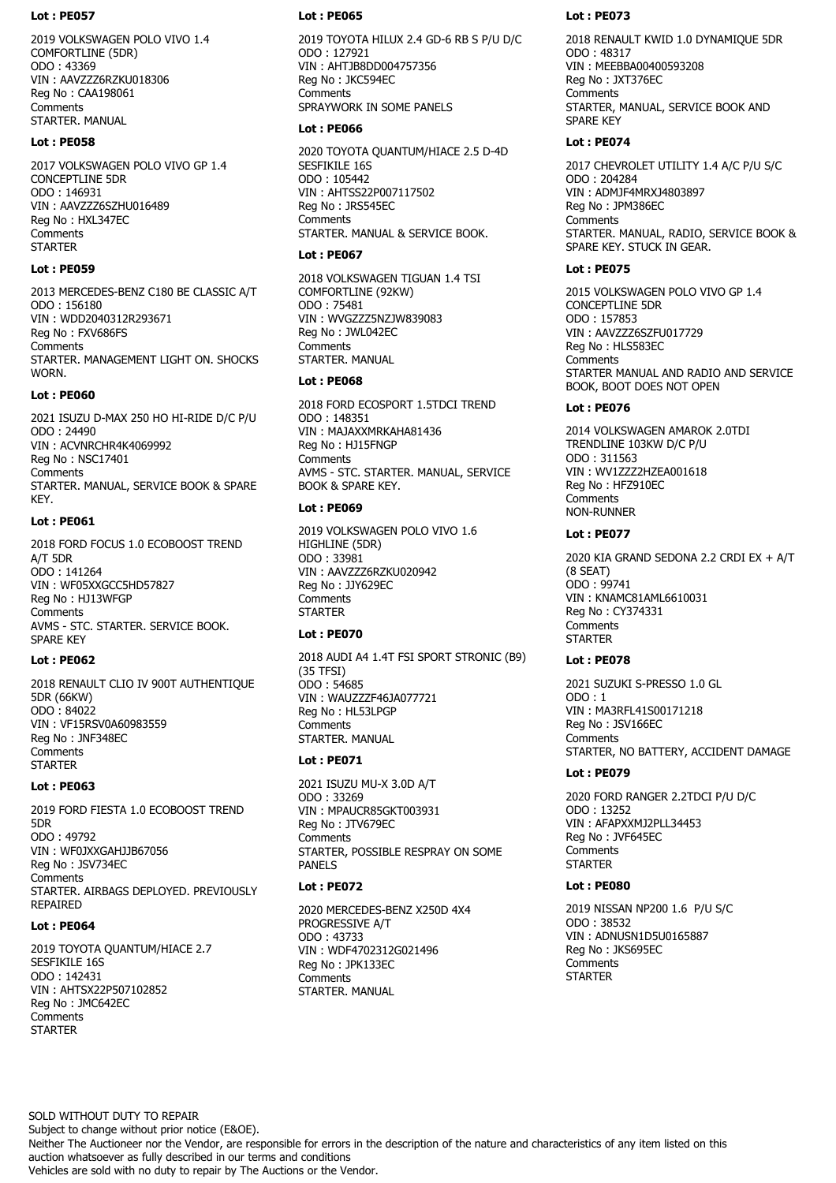2019 VOLKSWAGEN POLO VIVO 1.4 COMFORTLINE (5DR) ODO : 43369 VIN : AAVZZZ6RZKU018306 Reg No : CAA198061 **Comments** STARTER. MANUAL

# **Lot : PE058**

2017 VOLKSWAGEN POLO VIVO GP 1.4 CONCEPTLINE 5DR ODO : 146931 VIN : AAVZZZ6SZHU016489 Reg No : HXL347EC **Comments STARTER** 

# **Lot : PE059**

2013 MERCEDES-BENZ C180 BE CLASSIC A/T ODO : 156180 VIN : WDD2040312R293671 Reg No : FXV686FS **Comments** STARTER. MANAGEMENT LIGHT ON. SHOCKS **WORN** 

# **Lot : PE060**

2021 ISUZU D-MAX 250 HO HI-RIDE D/C P/U ODO : 24490 VIN : ACVNRCHR4K4069992 Reg No : NSC17401 Comments STARTER. MANUAL, SERVICE BOOK & SPARE KEY.

# **Lot : PE061**

2018 FORD FOCUS 1.0 ECOBOOST TREND A/T 5DR ODO : 141264 VIN : WF05XXGCC5HD57827 Reg No : HJ13WFGP **Comments** AVMS - STC. STARTER. SERVICE BOOK. SPARE KEY

# **Lot : PE062**

2018 RENAULT CLIO IV 900T AUTHENTIQUE 5DR (66KW) ODO : 84022 VIN : VF15RSV0A60983559 Reg No : JNF348EC Comments **STARTER** 

# **Lot : PE063**

2019 FORD FIESTA 1.0 ECOBOOST TREND 5DR ODO : 49792 VIN : WF0JXXGAHJJB67056 Reg No : JSV734EC **Comments** STARTER. AIRBAGS DEPLOYED. PREVIOUSLY REPAIRED

# **Lot : PE064**

2019 TOYOTA QUANTUM/HIACE 2.7 SESFIKILE 16S ODO : 142431 VIN : AHTSX22P507102852 Reg No : JMC642EC **Comments STARTER** 

# **Lot : PE065**

2019 TOYOTA HILUX 2.4 GD-6 RB S P/U D/C ODO : 127921 VIN : AHTJB8DD004757356 Reg No : JKC594EC **Comments** SPRAYWORK IN SOME PANELS

# **Lot : PE066**

2020 TOYOTA QUANTUM/HIACE 2.5 D-4D SESFIKILE 16S ODO : 105442 VIN : AHTSS22P007117502 Reg No : JRS545EC Comments STARTER. MANUAL & SERVICE BOOK.

# **Lot : PE067**

2018 VOLKSWAGEN TIGUAN 1.4 TSI COMFORTLINE (92KW) ODO : 75481 VIN : WVGZZZ5NZJW839083 Reg No : JWL042EC **Comments** STARTER. MANUAL

# **Lot : PE068**

2018 FORD ECOSPORT 1.5TDCI TREND ODO : 148351 VIN : MAJAXXMRKAHA81436 Reg No : HJ15FNGP **Comments** AVMS - STC. STARTER. MANUAL, SERVICE BOOK & SPARE KEY.

# **Lot : PE069**

2019 VOLKSWAGEN POLO VIVO 1.6 HIGHLINE (5DR) ODO : 33981 VIN : AAVZZZ6RZKU020942 Reg No : JJY629EC **Comments STARTER** 

# **Lot : PE070**

2018 AUDI A4 1.4T FSI SPORT STRONIC (B9) (35 TFSI) ODO : 54685 VIN : WAUZZZF46JA077721 Reg No : HL53LPGP **Comments** STARTER. MANUAL

# **Lot : PE071**

2021 ISUZU MU-X 3.0D A/T ODO : 33269 VIN : MPAUCR85GKT003931 Reg No : JTV679EC **Comments** STARTER, POSSIBLE RESPRAY ON SOME PANELS

# **Lot : PE072**

2020 MERCEDES-BENZ X250D 4X4 PROGRESSIVE A/T ODO : 43733 VIN : WDF4702312G021496 Reg No : JPK133EC **Comments** STARTER. MANUAL

# **Lot : PE073**

2018 RENAULT KWID 1.0 DYNAMIQUE 5DR ODO : 48317 VIN : MEEBBA00400593208 Reg No : JXT376EC Comments STARTER, MANUAL, SERVICE BOOK AND SPARE KEY

# **Lot : PE074**

2017 CHEVROLET UTILITY 1.4 A/C P/U S/C ODO : 204284 VIN : ADMJF4MRXJ4803897 Reg No : JPM386EC Comments STARTER. MANUAL, RADIO, SERVICE BOOK & SPARE KEY. STUCK IN GEAR.

# **Lot : PE075**

2015 VOLKSWAGEN POLO VIVO GP 1.4 CONCEPTLINE 5DR ODO : 157853 VIN : AAVZZZ6SZFU017729 Reg No : HLS583EC **Comments** STARTER MANUAL AND RADIO AND SERVICE BOOK, BOOT DOES NOT OPEN

# **Lot : PE076**

2014 VOLKSWAGEN AMAROK 2.0TDI TRENDLINE 103KW D/C P/U ODO : 311563 VIN : WV1ZZZ2HZEA001618 Reg No : HFZ910EC **Comments** NON-RUNNER

# **Lot : PE077**

2020 KIA GRAND SEDONA 2.2 CRDI EX + A/T (8 SEAT) ODO : 99741 VIN : KNAMC81AML6610031 Reg No : CY374331 **Comments STARTER** 

# **Lot : PE078**

2021 SUZUKI S-PRESSO 1.0 GL ODO : 1 VIN : MA3RFL41S00171218 Reg No : JSV166EC Comments STARTER, NO BATTERY, ACCIDENT DAMAGE

# **Lot : PE079**

2020 FORD RANGER 2.2TDCI P/U D/C ODO : 13252 VIN : AFAPXXMJ2PLL34453 Reg No : JVF645EC **Comments STARTER** 

# **Lot : PE080**

2019 NISSAN NP200 1.6 P/U S/C ODO : 38532 VIN : ADNUSN1D5U0165887 Reg No : JKS695EC Comments **STARTER** 

SOLD WITHOUT DUTY TO REPAIR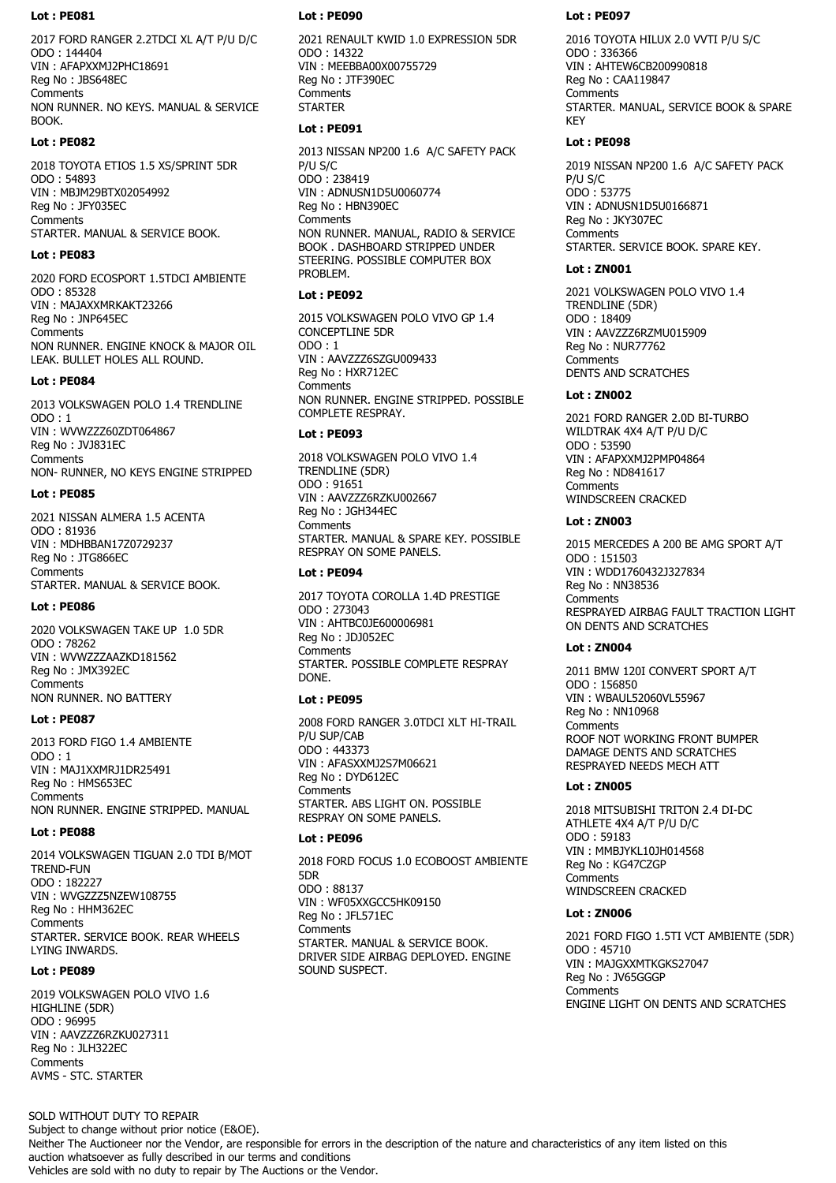2017 FORD RANGER 2.2TDCI XL A/T P/U D/C ODO : 144404 VIN : AFAPXXMJ2PHC18691 Reg No : JBS648EC **Comments** NON RUNNER. NO KEYS. MANUAL & SERVICE BOOK.

#### **Lot : PE082**

2018 TOYOTA ETIOS 1.5 XS/SPRINT 5DR ODO : 54893 VIN : MBJM29BTX02054992 Reg No : JFY035EC Comments STARTER. MANUAL & SERVICE BOOK.

### **Lot : PE083**

2020 FORD ECOSPORT 1.5TDCI AMBIENTE ODO : 85328 VIN : MAJAXXMRKAKT23266 Reg No : JNP645EC **Comments** NON RUNNER. ENGINE KNOCK & MAJOR OIL LEAK. BULLET HOLES ALL ROUND.

#### **Lot : PE084**

2013 VOLKSWAGEN POLO 1.4 TRENDLINE ODO : 1 VIN : WVWZZZ60ZDT064867 Reg No : JVJ831EC **Comments** NON- RUNNER, NO KEYS ENGINE STRIPPED

### **Lot : PE085**

2021 NISSAN ALMERA 1.5 ACENTA ODO : 81936 VIN : MDHBBAN17Z0729237 Reg No : JTG866EC Comments STARTER. MANUAL & SERVICE BOOK.

### **Lot : PE086**

2020 VOLKSWAGEN TAKE UP 1.0 5DR ODO : 78262 VIN : WVWZZZAAZKD181562 Reg No : JMX392EC **Comments** NON RUNNER. NO BATTERY

#### **Lot : PE087**

2013 FORD FIGO 1.4 AMBIENTE ODO : 1 VIN : MAJ1XXMRJ1DR25491 Reg No : HMS653EC **Comments** NON RUNNER. ENGINE STRIPPED. MANUAL

# **Lot : PE088**

2014 VOLKSWAGEN TIGUAN 2.0 TDI B/MOT TREND-FUN ODO : 182227 VIN : WVGZZZ5NZEW108755 Reg No : HHM362EC **Comments** STARTER. SERVICE BOOK. REAR WHEELS LYING INWARDS.

### **Lot : PE089**

2019 VOLKSWAGEN POLO VIVO 1.6 HIGHLINE (5DR) ODO : 96995 VIN : AAVZZZ6RZKU027311 Reg No : JLH322EC **Comments** AVMS - STC. STARTER

#### **Lot : PE090**

2021 RENAULT KWID 1.0 EXPRESSION 5DR ODO : 14322 VIN : MEEBBA00X00755729 Reg No : JTF390EC **Comments STARTER** 

## **Lot : PE091**

2013 NISSAN NP200 1.6 A/C SAFETY PACK P/U S/C ODO : 238419 VIN : ADNUSN1D5U0060774 Reg No : HBN390EC **Comments** NON RUNNER. MANUAL, RADIO & SERVICE BOOK . DASHBOARD STRIPPED UNDER STEERING. POSSIBLE COMPUTER BOX PROBLEM.

### **Lot : PE092**

2015 VOLKSWAGEN POLO VIVO GP 1.4 CONCEPTLINE 5DR ODO : 1 VIN : AAVZZZ6SZGU009433 Reg No : HXR712EC **Comments** NON RUNNER. ENGINE STRIPPED. POSSIBLE COMPLETE RESPRAY.

#### **Lot : PE093**

2018 VOLKSWAGEN POLO VIVO 1.4 TRENDLINE (5DR) ODO : 91651 VIN : AAVZZZ6RZKU002667 Reg No : JGH344EC **Comments** STARTER. MANUAL & SPARE KEY. POSSIBLE RESPRAY ON SOME PANELS.

### **Lot : PE094**

2017 TOYOTA COROLLA 1.4D PRESTIGE ODO : 273043 VIN : AHTBC0JE600006981 Reg No : JDJ052EC **Comments** STARTER. POSSIBLE COMPLETE RESPRAY DONE.

# **Lot : PE095**

2008 FORD RANGER 3.0TDCI XLT HI-TRAIL P/U SUP/CAB ODO : 443373 VIN : AFASXXMJ2S7M06621 Reg No : DYD612EC **Comments** STARTER. ABS LIGHT ON. POSSIBLE RESPRAY ON SOME PANELS.

# **Lot : PE096**

2018 FORD FOCUS 1.0 ECOBOOST AMBIENTE 5DR ODO : 88137 VIN : WF05XXGCC5HK09150 Reg No : JFL571EC **Comments** STARTER. MANUAL & SERVICE BOOK. DRIVER SIDE AIRBAG DEPLOYED. ENGINE SOUND SUSPECT.

### **Lot : PE097**

2016 TOYOTA HILUX 2.0 VVTI P/U S/C ODO : 336366 VIN : AHTEW6CB200990818 Reg No : CAA119847 Comments STARTER. MANUAL, SERVICE BOOK & SPARE KEY

### **Lot : PE098**

2019 NISSAN NP200 1.6 A/C SAFETY PACK P/U S/C ODO : 53775 VIN : ADNUSN1D5U0166871 Reg No : JKY307EC **Comments** STARTER. SERVICE BOOK. SPARE KEY.

# **Lot : ZN001**

2021 VOLKSWAGEN POLO VIVO 1.4 TRENDLINE (5DR) ODO : 18409 VIN : AAVZZZ6RZMU015909 Reg No : NUR77762 **Comments** DENTS AND SCRATCHES

# **Lot : ZN002**

2021 FORD RANGER 2.0D BI-TURBO WILDTRAK 4X4 A/T P/U D/C ODO : 53590 VIN : AFAPXXMJ2PMP04864 Reg No : ND841617 **Comments** WINDSCREEN CRACKED

## **Lot : ZN003**

2015 MERCEDES A 200 BE AMG SPORT A/T ODO : 151503 VIN : WDD1760432J327834 Reg No : NN38536 **Comments** RESPRAYED AIRBAG FAULT TRACTION LIGHT ON DENTS AND SCRATCHES

# **Lot : ZN004**

2011 BMW 120I CONVERT SPORT A/T ODO : 156850 VIN : WBAUL52060VL55967 Reg No : NN10968 **Comments** ROOF NOT WORKING FRONT BUMPER DAMAGE DENTS AND SCRATCHES RESPRAYED NEEDS MECH ATT

# **Lot : ZN005**

2018 MITSUBISHI TRITON 2.4 DI-DC ATHLETE 4X4 A/T P/U D/C ODO : 59183 VIN : MMBJYKL10JH014568 Reg No : KG47CZGP **Comments** WINDSCREEN CRACKED

# **Lot : ZN006**

2021 FORD FIGO 1.5TI VCT AMBIENTE (5DR) ODO : 45710 VIN : MAJGXXMTKGKS27047 Reg No : JV65GGGP **Comments** ENGINE LIGHT ON DENTS AND SCRATCHES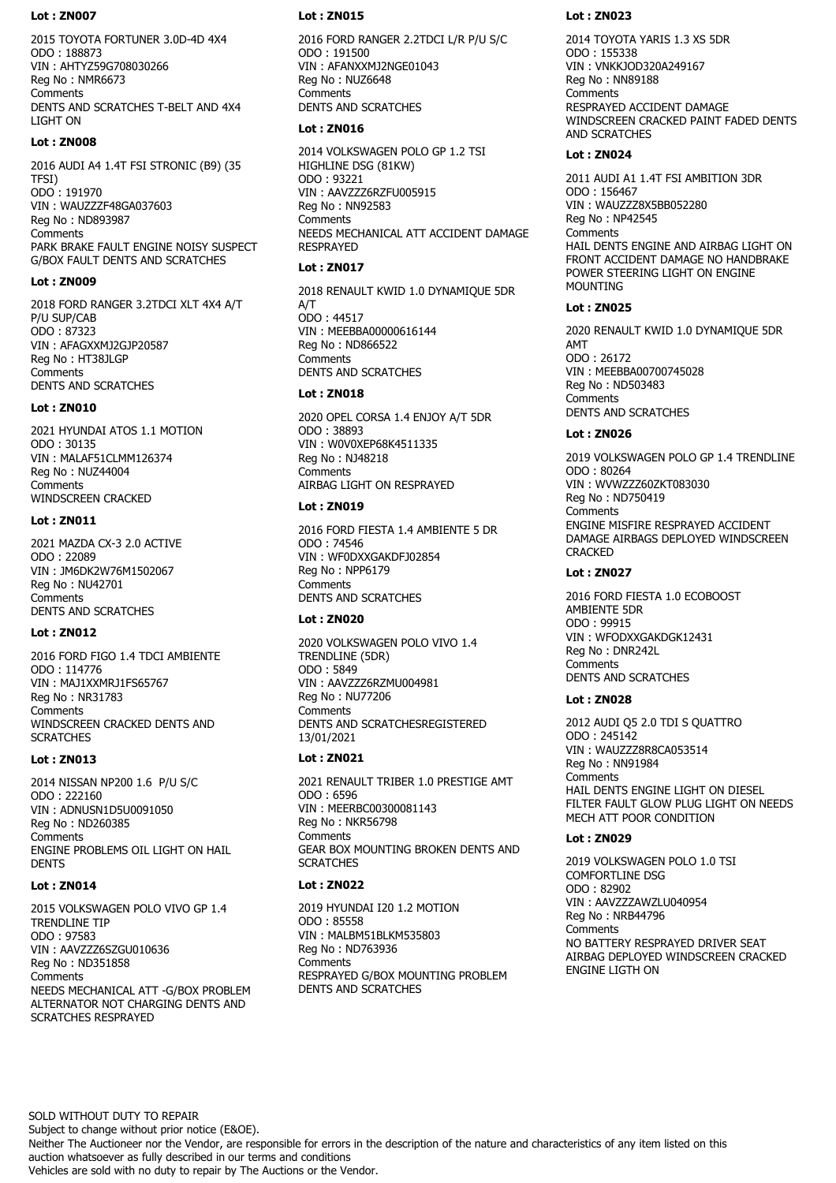2015 TOYOTA FORTUNER 3.0D-4D 4X4 ODO : 188873 VIN : AHTYZ59G708030266 Reg No : NMR6673 Comments DENTS AND SCRATCHES T-BELT AND 4X4 LIGHT ON

# **Lot : ZN008**

2016 AUDI A4 1.4T FSI STRONIC (B9) (35 TFSI) ODO : 191970 VIN : WAUZZZF48GA037603 Reg No : ND893987 **Comments** PARK BRAKE FAULT ENGINE NOISY SUSPECT G/BOX FAULT DENTS AND SCRATCHES

# **Lot : ZN009**

2018 FORD RANGER 3.2TDCI XLT 4X4 A/T P/U SUP/CAB ODO : 87323 VIN : AFAGXXMJ2GJP20587 Reg No : HT38JLGP **Comments** DENTS AND SCRATCHES

# **Lot : ZN010**

2021 HYUNDAI ATOS 1.1 MOTION ODO : 30135 VIN : MALAF51CLMM126374 Reg No : NUZ44004 **Comments** WINDSCREEN CRACKED

# **Lot : ZN011**

2021 MAZDA CX-3 2.0 ACTIVE ODO : 22089 VIN : JM6DK2W76M1502067 Reg No : NU42701 Comments DENTS AND SCRATCHES

# **Lot : ZN012**

2016 FORD FIGO 1.4 TDCI AMBIENTE ODO : 114776 VIN : MAJ1XXMRJ1FS65767 Reg No : NR31783 **Comments** WINDSCREEN CRACKED DENTS AND **SCRATCHES** 

# **Lot : ZN013**

2014 NISSAN NP200 1.6 P/U S/C ODO : 222160 VIN : ADNUSN1D5U0091050 Reg No : ND260385 **Comments** ENGINE PROBLEMS OIL LIGHT ON HAIL **DENTS** 

# **Lot : ZN014**

2015 VOLKSWAGEN POLO VIVO GP 1.4 TRENDLINE TIP ODO : 97583 VIN : AAVZZZ6SZGU010636 Reg No : ND351858 **Comments** NEEDS MECHANICAL ATT -G/BOX PROBLEM ALTERNATOR NOT CHARGING DENTS AND SCRATCHES RESPRAYED

# **Lot : ZN015**

2016 FORD RANGER 2.2TDCI L/R P/U S/C ODO : 191500 VIN : AFANXXMJ2NGE01043 Reg No : NUZ6648 Comments DENTS AND SCRATCHES

# **Lot : ZN016**

2014 VOLKSWAGEN POLO GP 1.2 TSI HIGHLINE DSG (81KW) ODO : 93221 VIN : AAVZZZ6RZFU005915 Reg No : NN92583 **Comments** NEEDS MECHANICAL ATT ACCIDENT DAMAGE RESPRAYED

# **Lot : ZN017**

2018 RENAULT KWID 1.0 DYNAMIQUE 5DR A/T ODO : 44517 VIN : MEEBBA00000616144 Reg No : ND866522 **Comments** DENTS AND SCRATCHES

# **Lot : ZN018**

2020 OPEL CORSA 1.4 ENJOY A/T 5DR ODO : 38893 VIN : W0V0XEP68K4511335 Reg No : NJ48218 **Comments** AIRBAG LIGHT ON RESPRAYED

# **Lot : ZN019**

2016 FORD FIESTA 1.4 AMBIENTE 5 DR ODO : 74546 VIN : WF0DXXGAKDFJ02854 Reg No : NPP6179 **Comments** DENTS AND SCRATCHES

# **Lot : ZN020**

2020 VOLKSWAGEN POLO VIVO 1.4 TRENDLINE (5DR) ODO : 5849 VIN : AAVZZZ6RZMU004981 Reg No : NU77206 **Comments** DENTS AND SCRATCHESREGISTERED 13/01/2021

# **Lot : ZN021**

2021 RENAULT TRIBER 1.0 PRESTIGE AMT ODO : 6596 VIN : MEERBC00300081143 Reg No : NKR56798 **Comments** GEAR BOX MOUNTING BROKEN DENTS AND **SCRATCHES** 

# **Lot : ZN022**

2019 HYUNDAI I20 1.2 MOTION ODO : 85558 VIN : MALBM51BLKM535803 Reg No : ND763936 **Comments** RESPRAYED G/BOX MOUNTING PROBLEM DENTS AND SCRATCHES

# **Lot : ZN023**

2014 TOYOTA YARIS 1.3 XS 5DR ODO : 155338 VIN : VNKKJOD320A249167 Reg No : NN89188 Comments RESPRAYED ACCIDENT DAMAGE WINDSCREEN CRACKED PAINT FADED DENTS AND SCRATCHES

# **Lot : ZN024**

2011 AUDI A1 1.4T FSI AMBITION 3DR ODO : 156467 VIN : WAUZZZ8X5BB052280 Reg No : NP42545 **Comments** HAIL DENTS ENGINE AND AIRBAG LIGHT ON FRONT ACCIDENT DAMAGE NO HANDBRAKE POWER STEERING LIGHT ON ENGINE MOUNTING

# **Lot : ZN025**

2020 RENAULT KWID 1.0 DYNAMIQUE 5DR AMT ODO : 26172 VIN : MEEBBA00700745028 Reg No : ND503483 **Comments** DENTS AND SCRATCHES

# **Lot : ZN026**

2019 VOLKSWAGEN POLO GP 1.4 TRENDLINE ODO : 80264 VIN : WVWZZZ60ZKT083030 Reg No : ND750419 Comments ENGINE MISFIRE RESPRAYED ACCIDENT DAMAGE AIRBAGS DEPLOYED WINDSCREEN **CRACKED** 

# **Lot : ZN027**

2016 FORD FIESTA 1.0 ECOBOOST AMBIENTE 5DR ODO : 99915 VIN : WFODXXGAKDGK12431 Reg No : DNR242L **Comments** DENTS AND SCRATCHES

# **Lot : ZN028**

2012 AUDI Q5 2.0 TDI S QUATTRO ODO : 245142 VIN : WAUZZZ8R8CA053514 Reg No : NN91984 **Comments** HAIL DENTS ENGINE LIGHT ON DIESEL FILTER FAULT GLOW PLUG LIGHT ON NEEDS MECH ATT POOR CONDITION

# **Lot : ZN029**

2019 VOLKSWAGEN POLO 1.0 TSI COMFORTLINE DSG ODO : 82902 VIN : AAVZZZAWZLU040954 Reg No : NRB44796 **Comments** NO BATTERY RESPRAYED DRIVER SEAT AIRBAG DEPLOYED WINDSCREEN CRACKED ENGINE LIGTH ON

SOLD WITHOUT DUTY TO REPAIR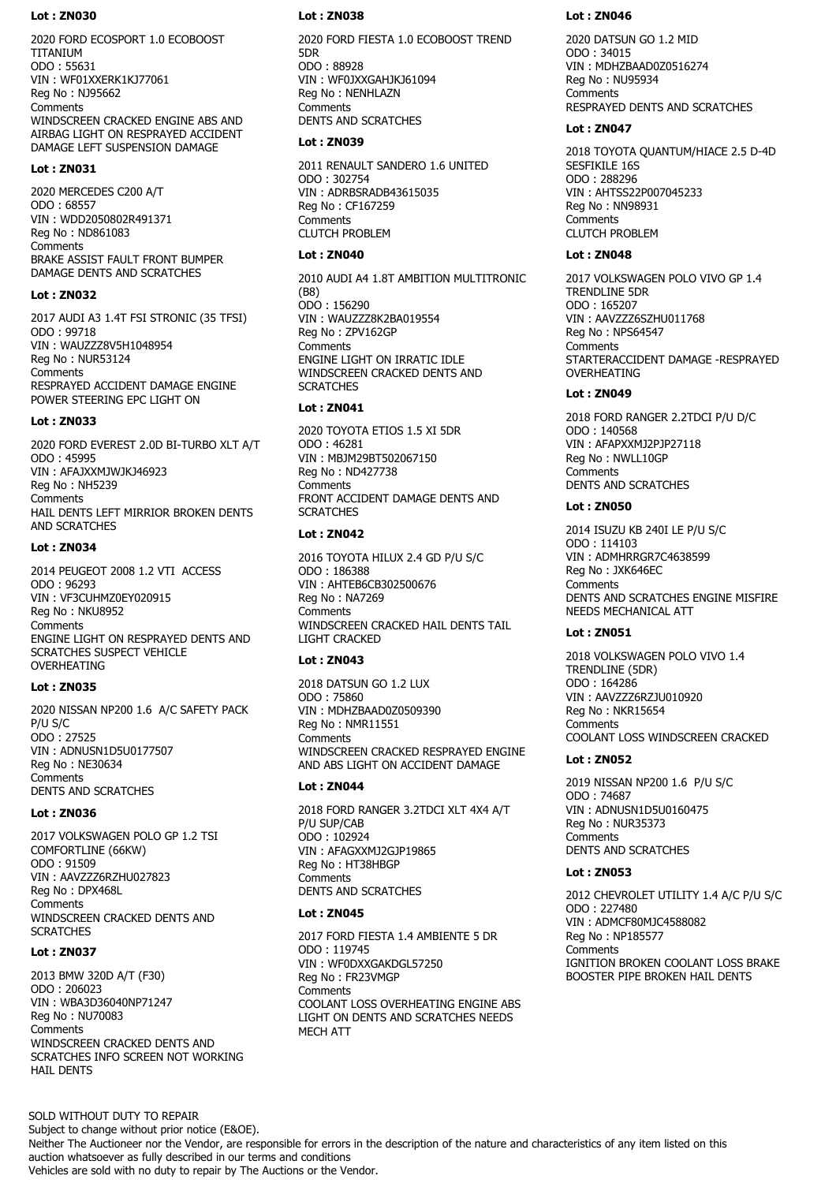2020 FORD ECOSPORT 1.0 ECOBOOST TITANIUM ODO : 55631 VIN : WF01XXERK1KJ77061 Reg No : NJ95662 **Comments** WINDSCREEN CRACKED ENGINE ABS AND AIRBAG LIGHT ON RESPRAYED ACCIDENT DAMAGE LEFT SUSPENSION DAMAGE

#### **Lot : ZN031**

2020 MERCEDES C200 A/T ODO : 68557 VIN : WDD2050802R491371 Reg No : ND861083 **Comments** BRAKE ASSIST FAULT FRONT BUMPER DAMAGE DENTS AND SCRATCHES

#### **Lot : ZN032**

2017 AUDI A3 1.4T FSI STRONIC (35 TFSI) ODO : 99718 VIN : WAUZZZ8V5H1048954 Reg No : NUR53124 **Comments** RESPRAYED ACCIDENT DAMAGE ENGINE POWER STEERING EPC LIGHT ON

#### **Lot : ZN033**

2020 FORD EVEREST 2.0D BI-TURBO XLT A/T ODO : 45995 VIN : AFAJXXMJWJKJ46923 Reg No : NH5239 **Comments** HAIL DENTS LEFT MIRRIOR BROKEN DENTS AND SCRATCHES

#### **Lot : ZN034**

2014 PEUGEOT 2008 1.2 VTI ACCESS ODO : 96293 VIN : VF3CUHMZ0EY020915 Reg No : NKU8952 Comments ENGINE LIGHT ON RESPRAYED DENTS AND SCRATCHES SUSPECT VEHICLE OVERHEATING

#### **Lot : ZN035**

2020 NISSAN NP200 1.6 A/C SAFETY PACK P/U S/C ODO : 27525 VIN : ADNUSN1D5U0177507 Reg No : NE30634 **Comments** DENTS AND SCRATCHES

# **Lot : ZN036**

2017 VOLKSWAGEN POLO GP 1.2 TSI COMFORTLINE (66KW) ODO : 91509 VIN : AAVZZZ6RZHU027823 Reg No : DPX468L **Comments** WINDSCREEN CRACKED DENTS AND **SCRATCHES** 

#### **Lot : ZN037**

2013 BMW 320D A/T (F30) ODO : 206023 VIN : WBA3D36040NP71247 Reg No : NU70083 **Comments** WINDSCREEN CRACKED DENTS AND SCRATCHES INFO SCREEN NOT WORKING HAIL DENTS

#### **Lot : ZN038**

2020 FORD FIESTA 1.0 ECOBOOST TREND 5DR ODO : 88928 VIN : WF0JXXGAHJKJ61094 Reg No : NENHLAZN **Comments** DENTS AND SCRATCHES

#### **Lot : ZN039**

2011 RENAULT SANDERO 1.6 UNITED ODO : 302754 VIN : ADRBSRADB43615035 Reg No : CF167259 Comments CLUTCH PROBLEM

# **Lot : ZN040**

2010 AUDI A4 1.8T AMBITION MULTITRONIC (B8) ODO : 156290 VIN : WAUZZZ8K2BA019554 Reg No : ZPV162GP **Comments** ENGINE LIGHT ON IRRATIC IDLE WINDSCREEN CRACKED DENTS AND **SCRATCHES** 

#### **Lot : ZN041**

2020 TOYOTA ETIOS 1.5 XI 5DR ODO : 46281 VIN : MBJM29BT502067150 Reg No : ND427738 **Comments** FRONT ACCIDENT DAMAGE DENTS AND **SCRATCHES** 

# **Lot : ZN042**

2016 TOYOTA HILUX 2.4 GD P/U S/C ODO : 186388 VIN : AHTEB6CB302500676 Reg No : NA7269 **Comments** WINDSCREEN CRACKED HAIL DENTS TAIL LIGHT CRACKED

# **Lot : ZN043**

2018 DATSUN GO 1.2 LUX ODO : 75860 VIN : MDHZBAAD0Z0509390 Reg No : NMR11551 **Comments** WINDSCREEN CRACKED RESPRAYED ENGINE AND ABS LIGHT ON ACCIDENT DAMAGE

## **Lot : ZN044**

2018 FORD RANGER 3.2TDCI XLT 4X4 A/T P/U SUP/CAB ODO : 102924 VIN : AFAGXXMJ2GJP19865 Reg No : HT38HBGP **Comments** DENTS AND SCRATCHES

#### **Lot : ZN045**

2017 FORD FIESTA 1.4 AMBIENTE 5 DR ODO : 119745 VIN : WF0DXXGAKDGL57250 Reg No : FR23VMGP **Comments** COOLANT LOSS OVERHEATING ENGINE ABS LIGHT ON DENTS AND SCRATCHES NEEDS MECH ATT

#### **Lot : ZN046**

2020 DATSUN GO 1.2 MID ODO : 34015 VIN : MDHZBAAD0Z0516274 Reg No : NU95934 **Comments** RESPRAYED DENTS AND SCRATCHES

#### **Lot : ZN047**

2018 TOYOTA QUANTUM/HIACE 2.5 D-4D SESFIKILE 16S ODO : 288296 VIN : AHTSS22P007045233 Reg No : NN98931 Comments CLUTCH PROBLEM

#### **Lot : ZN048**

2017 VOLKSWAGEN POLO VIVO GP 1.4 TRENDLINE 5DR ODO : 165207 VIN : AAVZZZ6SZHU011768 Reg No : NPS64547 **Comments** STARTERACCIDENT DAMAGE -RESPRAYED OVERHEATING

# **Lot : ZN049**

2018 FORD RANGER 2.2TDCI P/U D/C ODO : 140568 VIN : AFAPXXMJ2PJP27118 Reg No : NWLL10GP Comments DENTS AND SCRATCHES

### **Lot : ZN050**

2014 ISUZU KB 240I LE P/U S/C ODO : 114103 VIN : ADMHRRGR7C4638599 Reg No : JXK646EC **Comments** DENTS AND SCRATCHES ENGINE MISFIRE NEEDS MECHANICAL ATT

# **Lot : ZN051**

2018 VOLKSWAGEN POLO VIVO 1.4 TRENDLINE (5DR) ODO : 164286 VIN : AAVZZZ6RZJU010920 Reg No : NKR15654 **Comments** COOLANT LOSS WINDSCREEN CRACKED

### **Lot : ZN052**

2019 NISSAN NP200 1.6 P/U S/C ODO : 74687 VIN : ADNUSN1D5U0160475 Reg No : NUR35373 **Comments** DENTS AND SCRATCHES

# **Lot : ZN053**

2012 CHEVROLET UTILITY 1.4 A/C P/U S/C ODO : 227480 VIN : ADMCF80MJC4588082 Reg No : NP185577 **Comments** IGNITION BROKEN COOLANT LOSS BRAKE BOOSTER PIPE BROKEN HAIL DENTS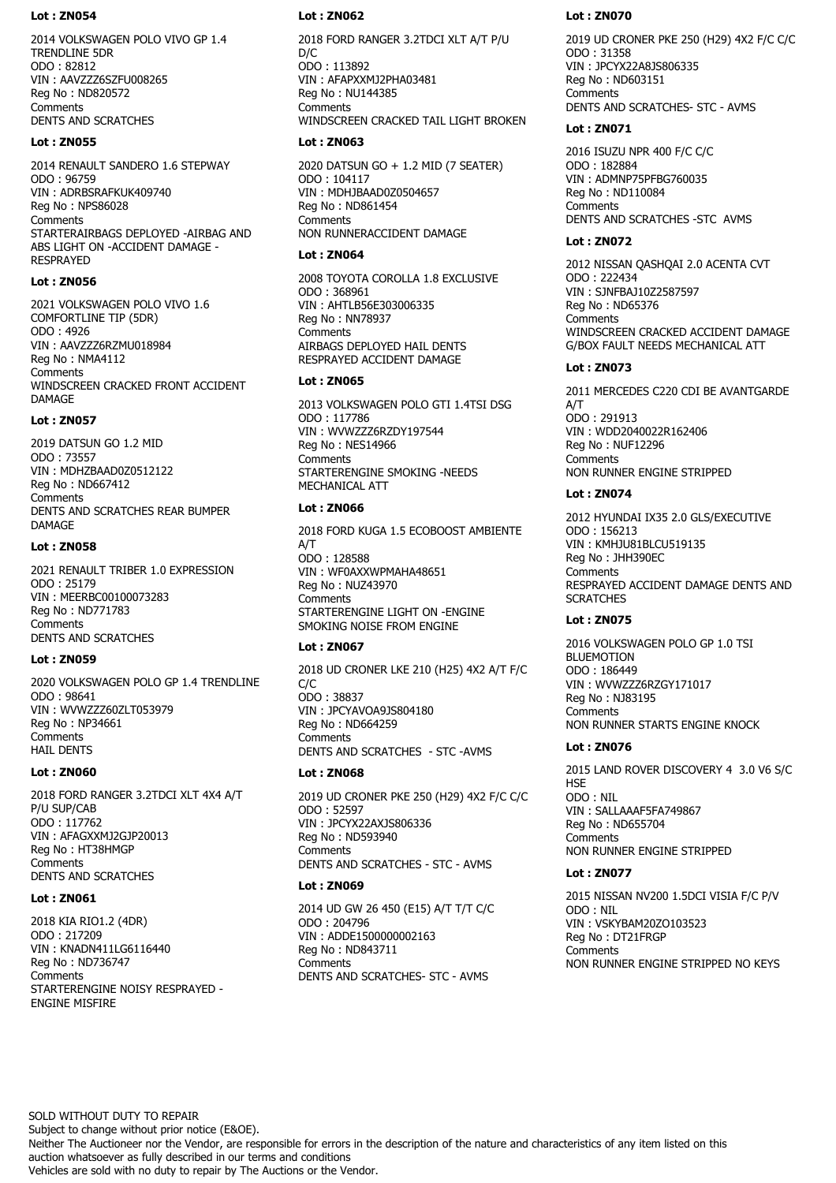2014 VOLKSWAGEN POLO VIVO GP 1.4 TRENDLINE 5DR ODO : 82812 VIN : AAVZZZ6SZFU008265 Reg No : ND820572 **Comments** DENTS AND SCRATCHES

#### **Lot : ZN055**

2014 RENAULT SANDERO 1.6 STEPWAY ODO : 96759 VIN : ADRBSRAFKUK409740 Reg No : NPS86028 **Comments** STARTERAIRBAGS DEPLOYED -AIRBAG AND ABS LIGHT ON -ACCIDENT DAMAGE - **RESPRAYED** 

# **Lot : ZN056**

2021 VOLKSWAGEN POLO VIVO 1.6 COMFORTLINE TIP (5DR) ODO : 4926 VIN : AAVZZZ6RZMU018984 Reg No : NMA4112 **Comments** WINDSCREEN CRACKED FRONT ACCIDENT DAMAGE

### **Lot : ZN057**

2019 DATSUN GO 1.2 MID ODO : 73557 VIN : MDHZBAAD0Z0512122 Reg No : ND667412 Comments DENTS AND SCRATCHES REAR BUMPER **DAMAGE** 

### **Lot : ZN058**

2021 RENAULT TRIBER 1.0 EXPRESSION ODO : 25179 VIN : MEERBC00100073283 Reg No : ND771783 Comments DENTS AND SCRATCHES

# **Lot : ZN059**

2020 VOLKSWAGEN POLO GP 1.4 TRENDLINE ODO : 98641 VIN : WVWZZZ60ZLT053979 Reg No : NP34661 **Comments** HAIL DENTS

#### **Lot : ZN060**

2018 FORD RANGER 3.2TDCI XLT 4X4 A/T P/U SUP/CAB ODO : 117762 VIN : AFAGXXMJ2GJP20013 Reg No : HT38HMGP Comments DENTS AND SCRATCHES

### **Lot : ZN061**

2018 KIA RIO1.2 (4DR) ODO : 217209 VIN : KNADN411LG6116440 Reg No : ND736747 **Comments** STARTERENGINE NOISY RESPRAYED - ENGINE MISFIRE

# **Lot : ZN062**

2018 FORD RANGER 3.2TDCI XLT A/T P/U D/C ODO : 113892 VIN : AFAPXXMJ2PHA03481 Reg No : NU144385 **Comments** WINDSCREEN CRACKED TAIL LIGHT BROKEN

## **Lot : ZN063**

2020 DATSUN GO + 1.2 MID (7 SEATER) ODO : 104117 VIN : MDHJBAAD0Z0504657 Reg No : ND861454 **Comments** NON RUNNERACCIDENT DAMAGE

# **Lot : ZN064**

2008 TOYOTA COROLLA 1.8 EXCLUSIVE ODO : 368961 VIN : AHTLB56E303006335 Reg No : NN78937 **Comments** AIRBAGS DEPLOYED HAIL DENTS RESPRAYED ACCIDENT DAMAGE

### **Lot : ZN065**

2013 VOLKSWAGEN POLO GTI 1.4TSI DSG ODO : 117786 VIN : WVWZZZ6RZDY197544 Reg No : NES14966 **Comments** STARTERENGINE SMOKING -NEEDS MECHANICAL ATT

# **Lot : ZN066**

2018 FORD KUGA 1.5 ECOBOOST AMBIENTE A/T ODO : 128588 VIN : WF0AXXWPMAHA48651 Reg No : NUZ43970 **Comments** STARTERENGINE LIGHT ON - FNGINE SMOKING NOISE FROM ENGINE

# **Lot : ZN067**

2018 UD CRONER LKE 210 (H25) 4X2 A/T F/C C/C ODO : 38837 VIN : JPCYAVOA9JS804180 Reg No : ND664259 **Comments** DENTS AND SCRATCHES - STC -AVMS

# **Lot : ZN068**

2019 UD CRONER PKE 250 (H29) 4X2 F/C C/C ODO : 52597 VIN : JPCYX22AXJS806336 Reg No : ND593940 **Comments** DENTS AND SCRATCHES - STC - AVMS

# **Lot : ZN069**

2014 UD GW 26 450 (E15) A/T T/T C/C ODO : 204796 VIN : ADDE1500000002163 Reg No : ND843711 Comments DENTS AND SCRATCHES- STC - AVMS

# **Lot : ZN070**

2019 UD CRONER PKE 250 (H29) 4X2 F/C C/C ODO : 31358 VIN : JPCYX22A8JS806335 Reg No : ND603151 Comments DENTS AND SCRATCHES- STC - AVMS

## **Lot : ZN071**

2016 ISUZU NPR 400 F/C C/C ODO : 182884 VIN : ADMNP75PFBG760035 Reg No : ND110084 **Comments** DENTS AND SCRATCHES -STC AVMS

# **Lot : ZN072**

2012 NISSAN QASHQAI 2.0 ACENTA CVT ODO : 222434 VIN : SJNFBAJ10Z2587597 Reg No : ND65376 **Comments** WINDSCREEN CRACKED ACCIDENT DAMAGE G/BOX FAULT NEEDS MECHANICAL ATT

# **Lot : ZN073**

2011 MERCEDES C220 CDI BE AVANTGARDE A/T ODO : 291913 VIN : WDD2040022R162406 Reg No : NUF12296 Comments NON RUNNER ENGINE STRIPPED

# **Lot : ZN074**

2012 HYUNDAI IX35 2.0 GLS/EXECUTIVE ODO : 156213 VIN : KMHJU81BLCU519135 Reg No : JHH390EC **Comments** RESPRAYED ACCIDENT DAMAGE DENTS AND **SCRATCHES** 

# **Lot : ZN075**

2016 VOLKSWAGEN POLO GP 1.0 TSI **BLUEMOTION** ODO : 186449 VIN : WVWZZZ6RZGY171017 Reg No : NJ83195 **Comments** NON RUNNER STARTS ENGINE KNOCK

# **Lot : ZN076**

2015 LAND ROVER DISCOVERY 4 3.0 V6 S/C **HSE** ODO : NIL VIN : SALLAAAF5FA749867 Reg No : ND655704 **Comments** NON RUNNER ENGINE STRIPPED

# **Lot : ZN077**

2015 NISSAN NV200 1.5DCI VISIA F/C P/V ODO : NIL VIN : VSKYBAM20ZO103523 Reg No : DT21FRGP **Comments** NON RUNNER ENGINE STRIPPED NO KEYS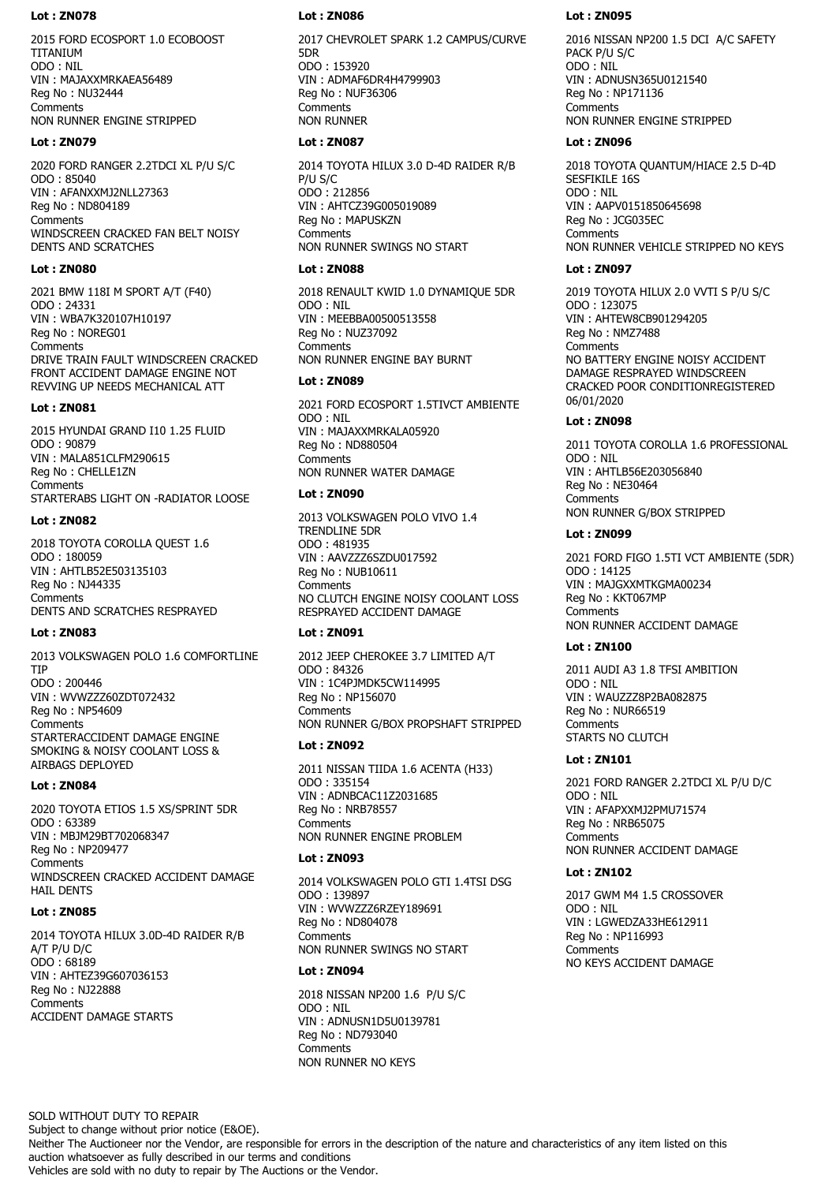2015 FORD ECOSPORT 1.0 ECOBOOST TITANIUM ODO : NIL VIN : MAJAXXMRKAEA56489 Reg No : NU32444 **Comments** NON RUNNER ENGINE STRIPPED

### **Lot : ZN079**

2020 FORD RANGER 2.2TDCI XL P/U S/C ODO : 85040 VIN : AFANXXMJ2NLL27363 Reg No : ND804189 **Comments** WINDSCREEN CRACKED FAN BELT NOISY DENTS AND SCRATCHES

# **Lot : ZN080**

2021 BMW 118I M SPORT A/T (F40) ODO : 24331 VIN : WBA7K320107H10197 Reg No : NOREG01 **Comments** DRIVE TRAIN FAULT WINDSCREEN CRACKED FRONT ACCIDENT DAMAGE ENGINE NOT REVVING UP NEEDS MECHANICAL ATT

#### **Lot : ZN081**

2015 HYUNDAI GRAND I10 1.25 FLUID ODO : 90879 VIN : MALA851CLFM290615 Reg No : CHELLE1ZN **Comments** STARTERABS LIGHT ON -RADIATOR LOOSE

### **Lot : ZN082**

2018 TOYOTA COROLLA QUEST 1.6 ODO : 180059 VIN : AHTLB52E503135103 Reg No : NJ44335 Comments DENTS AND SCRATCHES RESPRAYED

# **Lot : ZN083**

2013 VOLKSWAGEN POLO 1.6 COMFORTLINE TIP ODO : 200446 VIN : WVWZZZ60ZDT072432 Reg No : NP54609 **Comments** STARTERACCIDENT DAMAGE ENGINE SMOKING & NOISY COOLANT LOSS & AIRBAGS DEPLOYED

### **Lot : ZN084**

2020 TOYOTA ETIOS 1.5 XS/SPRINT 5DR ODO : 63389 VIN : MBJM29BT702068347 Reg No : NP209477 **Comments** WINDSCREEN CRACKED ACCIDENT DAMAGE HAIL DENTS

# **Lot : ZN085**

2014 TOYOTA HILUX 3.0D-4D RAIDER R/B A/T P/U D/C ODO : 68189 VIN : AHTEZ39G607036153 Reg No : NJ22888 **Comments** ACCIDENT DAMAGE STARTS

# **Lot : ZN086**

2017 CHEVROLET SPARK 1.2 CAMPUS/CURVE 5DR ODO : 153920 VIN : ADMAF6DR4H4799903 Reg No : NUF36306 **Comments** NON RUNNER

## **Lot : ZN087**

2014 TOYOTA HILUX 3.0 D-4D RAIDER R/B P/U S/C ODO : 212856 VIN : AHTCZ39G005019089 Reg No : MAPUSKZN **Comments** NON RUNNER SWINGS NO START

# **Lot : ZN088**

2018 RENAULT KWID 1.0 DYNAMIQUE 5DR ODO : NIL VIN : MEEBBA00500513558 Reg No : NUZ37092 **Comments** NON RUNNER ENGINE BAY BURNT

# **Lot : ZN089**

2021 FORD ECOSPORT 1.5TIVCT AMBIENTE ODO : NIL VIN : MAJAXXMRKALA05920 Reg No : ND880504 **Comments** NON RUNNER WATER DAMAGE

# **Lot : ZN090**

2013 VOLKSWAGEN POLO VIVO 1.4 TRENDLINE 5DR ODO : 481935 VIN : AAVZZZ6SZDU017592 Reg No : NUB10611 **Comments** NO CLUTCH ENGINE NOISY COOLANT LOSS RESPRAYED ACCIDENT DAMAGE

# **Lot : ZN091**

2012 JEEP CHEROKEE 3.7 LIMITED A/T ODO : 84326 VIN : 1C4PJMDK5CW114995 Reg No : NP156070 **Comments** NON RUNNER G/BOX PROPSHAFT STRIPPED

# **Lot : ZN092**

2011 NISSAN TIIDA 1.6 ACENTA (H33) ODO : 335154 VIN : ADNBCAC11Z2031685 Reg No : NRB78557 **Comments** NON RUNNER ENGINE PROBLEM

# **Lot : ZN093**

2014 VOLKSWAGEN POLO GTI 1.4TSI DSG ODO : 139897 VIN : WVWZZZ6RZEY189691 Reg No : ND804078 **Comments** NON RUNNER SWINGS NO START

# **Lot : ZN094**

2018 NISSAN NP200 1.6 P/U S/C ODO : NIL VIN : ADNUSN1D5U0139781 Reg No : ND793040 **Comments** NON RUNNER NO KEYS

# **Lot : ZN095**

2016 NISSAN NP200 1.5 DCI A/C SAFETY PACK P/U S/C ODO : NIL VIN : ADNUSN365U0121540 Reg No : NP171136 **Comments** NON RUNNER ENGINE STRIPPED

# **Lot : ZN096**

2018 TOYOTA QUANTUM/HIACE 2.5 D-4D SESFIKILE 16S ODO : NIL VIN : AAPV0151850645698 Reg No : JCG035EC **Comments** NON RUNNER VEHICLE STRIPPED NO KEYS

# **Lot : ZN097**

2019 TOYOTA HILUX 2.0 VVTI S P/U S/C ODO : 123075 VIN : AHTEW8CB901294205 Reg No : NMZ7488 **Comments** NO BATTERY ENGINE NOISY ACCIDENT DAMAGE RESPRAYED WINDSCREEN CRACKED POOR CONDITIONREGISTERED 06/01/2020

# **Lot : ZN098**

2011 TOYOTA COROLLA 1.6 PROFESSIONAL ODO : NIL VIN : AHTLB56E203056840 Reg No : NE30464 **Comments** NON RUNNER G/BOX STRIPPED

# **Lot : ZN099**

2021 FORD FIGO 1.5TI VCT AMBIENTE (5DR) ODO : 14125 VIN : MAJGXXMTKGMA00234 Reg No : KKT067MP **Comments** NON RUNNER ACCIDENT DAMAGE

# **Lot : ZN100**

2011 AUDI A3 1.8 TFSI AMBITION ODO : NIL VIN : WAUZZZ8P2BA082875 Reg No : NUR66519 Comments STARTS NO CLUTCH

# **Lot : ZN101**

2021 FORD RANGER 2.2TDCI XL P/U D/C ODO : NIL VIN : AFAPXXMJ2PMU71574 Reg No : NRB65075 **Comments** NON RUNNER ACCIDENT DAMAGE

# **Lot : ZN102**

2017 GWM M4 1.5 CROSSOVER ODO : NIL VIN : LGWEDZA33HE612911 Reg No : NP116993 **Comments** NO KEYS ACCIDENT DAMAGE

SOLD WITHOUT DUTY TO REPAIR

Subject to change without prior notice (E&OE).

Neither The Auctioneer nor the Vendor, are responsible for errors in the description of the nature and characteristics of any item listed on this auction whatsoever as fully described in our terms and conditions Vehicles are sold with no duty to repair by The Auctions or the Vendor.